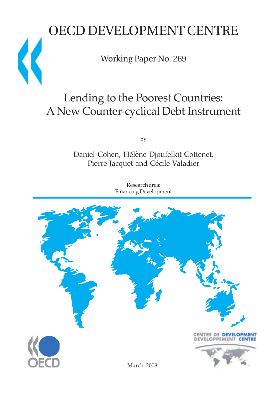# OECD DEVELOPMENT CENTRE

Working Paper No. 269

 $\overline{\mathbf{C}}$ 

# Lending to the Poorest Countries: A New Counter-cyclical Debt Instrument

by

Daniel Cohen, Hélène Djoufelkit-Cottenet, Pierre Jacquet and Cécile Valadier

> Research area: Financing Development

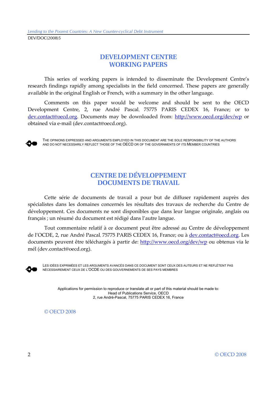## **DEVELOPMENT CENTRE WORKING PAPERS**

This series of working papers is intended to disseminate the Development Centre's research findings rapidly among specialists in the field concerned. These papers are generally available in the original English or French, with a summary in the other language.

Comments on this paper would be welcome and should be sent to the OECD Development Centre, 2, rue André Pascal, 75775 PARIS CEDEX 16, France; or to dev.contact@oecd.org. Documents may be downloaded from: http://www.oecd.org/dev/wp or obtained via e-mail (dev.contact@oecd.org).



THE OPINIONS EXPRESSED AND ARGUMENTS EMPLOYED IN THIS DOCUMENT ARE THE SOLE RESPONSIBILITY OF THE AUTHORS AND DO NOT NECESSARILY REFLECT THOSE OF THE OECD OR OF THE GOVERNMENTS OF ITS MEMBER COUNTRIES

## **CENTRE DE DÉVELOPPEMENT DOCUMENTS DE TRAVAIL**

Cette série de documents de travail a pour but de diffuser rapidement auprès des spécialistes dans les domaines concernés les résultats des travaux de recherche du Centre de développement. Ces documents ne sont disponibles que dans leur langue originale, anglais ou français ; un résumé du document est rédigé dans l'autre langue.

Tout commentaire relatif à ce document peut être adressé au Centre de développement de l'OCDE, 2, rue André Pascal, 75775 PARIS CEDEX 16, France; ou à dev.contact@oecd.org. Les documents peuvent être téléchargés à partir de: http://www.oecd.org/dev/wp ou obtenus via le mél (dev.contact@oecd.org).



LES IDÉES EXPRIMÉES ET LES ARGUMENTS AVANCÉS DANS CE DOCUMENT SONT CEUX DES AUTEURS ET NE REFLÈTENT PAS NÉCESSAIREMENT CEUX DE L'OCDE OU DES GOUVERNEMENTS DE SES PAYS MEMBRES

Applications for permission to reproduce or translate all or part of this material should be made to: Head of Publications Service, OECD 2, rue André-Pascal, 75775 PARIS CEDEX 16, France

© OECD 2008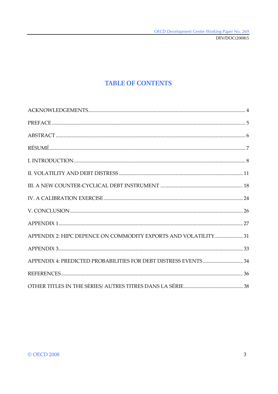DEV/DOC(2008)5

## **TABLE OF CONTENTS**

| APPENDIX 2: HIPC DEPENCE ON COMMODITY EXPORTS AND VOLATILITY 31 |  |
|-----------------------------------------------------------------|--|
|                                                                 |  |
|                                                                 |  |
|                                                                 |  |
|                                                                 |  |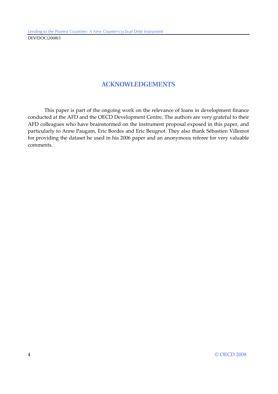## **ACKNOWLEDGEMENTS**

This paper is part of the ongoing work on the relevance of loans in development finance conducted at the AFD and the OECD Development Centre. The authors are very grateful to their AFD colleagues who have brainstormed on the instrument proposal exposed in this paper, and particularly to Anne Paugam, Eric Bordes and Eric Beugnot. They also thank Sébastien Villemot for providing the dataset he used in his 2006 paper and an anonymous referee for very valuable comments.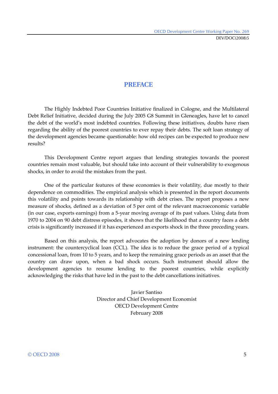## **PREFACE**

The Highly Indebted Poor Countries Initiative finalized in Cologne, and the Multilateral Debt Relief Initiative, decided during the July 2005 G8 Summit in Gleneagles, have let to cancel the debt of the world's most indebted countries. Following these initiatives, doubts have risen regarding the ability of the poorest countries to ever repay their debts. The soft loan strategy of the development agencies became questionable: how old recipes can be expected to produce new results?

This Development Centre report argues that lending strategies towards the poorest countries remain most valuable, but should take into account of their vulnerability to exogenous shocks, in order to avoid the mistakes from the past.

One of the particular features of these economies is their volatility, due mostly to their dependence on commodities. The empirical analysis which is presented in the report documents this volatility and points towards its relationship with debt crises. The report proposes a new measure of shocks, defined as a deviation of 5 per cent of the relevant macroeconomic variable (in our case, exports earnings) from a 5-year moving average of its past values. Using data from 1970 to 2004 on 90 debt distress episodes, it shows that the likelihood that a country faces a debt crisis is significantly increased if it has experienced an exports shock in the three preceding years.

Based on this analysis, the report advocates the adoption by donors of a new lending instrument: the countercyclical loan (CCL). The idea is to reduce the grace period of a typical concessional loan, from 10 to 5 years, and to keep the remaining grace periods as an asset that the country can draw upon, when a bad shock occurs. Such instrument should allow the development agencies to resume lending to the poorest countries, while explicitly acknowledging the risks that have led in the past to the debt cancellations initiatives.

> Javier Santiso Director and Chief Development Economist OECD Development Centre February 2008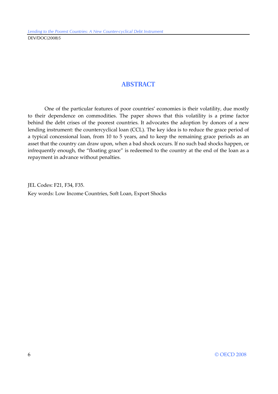## **ABSTRACT**

One of the particular features of poor countries' economies is their volatility, due mostly to their dependence on commodities. The paper shows that this volatility is a prime factor behind the debt crises of the poorest countries. It advocates the adoption by donors of a new lending instrument: the countercyclical loan (CCL). The key idea is to reduce the grace period of a typical concessional loan, from 10 to 5 years, and to keep the remaining grace periods as an asset that the country can draw upon, when a bad shock occurs. If no such bad shocks happen, or infrequently enough, the "floating grace" is redeemed to the country at the end of the loan as a repayment in advance without penalties.

JEL Codes: F21, F34, F35. Key words: Low Income Countries, Soft Loan, Export Shocks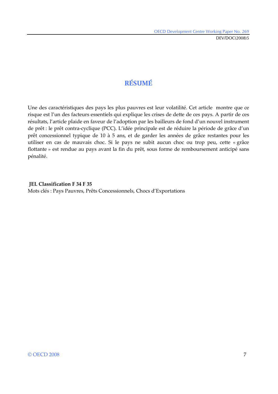## **RÉSUMÉ**

Une des caractéristiques des pays les plus pauvres est leur volatilité. Cet article montre que ce risque est l'un des facteurs essentiels qui explique les crises de dette de ces pays. A partir de ces résultats, l'article plaide en faveur de l'adoption par les bailleurs de fond d'un nouvel instrument de prêt : le prêt contra-cyclique (PCC). L'idée principale est de réduire la période de grâce d'un prêt concessionnel typique de 10 à 5 ans, et de garder les années de grâce restantes pour les utiliser en cas de mauvais choc. Si le pays ne subit aucun choc ou trop peu, cette « grâce flottante » est rendue au pays avant la fin du prêt, sous forme de remboursement anticipé sans pénalité.

#### **JEL Classification F 34 F 35**

Mots clés : Pays Pauvres, Prêts Concessionnels, Chocs d'Exportations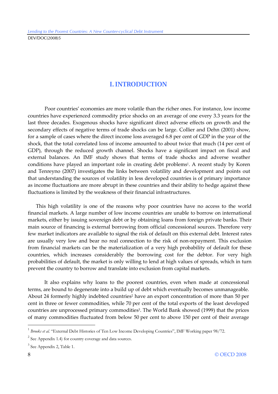## **I. INTRODUCTION**

Poor countries' economies are more volatile than the richer ones. For instance, low income countries have experienced commodity price shocks on an average of one every 3.3 years for the last three decades. Exogenous shocks have significant direct adverse effects on growth and the secondary effects of negative terms of trade shocks can be large. Collier and Dehn (2001) show, for a sample of cases where the direct income loss averaged 6.8 per cent of GDP in the year of the shock, that the total correlated loss of income amounted to about twice that much (14 per cent of GDP), through the reduced growth channel. Shocks have a significant impact on fiscal and external balances. An IMF study shows that terms of trade shocks and adverse weather conditions have played an important role in creating debt problems<sup>1</sup>. A recent study by Koren and Tenreyno (2007) investigates the links between volatility and development and points out that understanding the sources of volatility in less developed countries is of primary importance as income fluctuations are more abrupt in these countries and their ability to hedge against these fluctuations is limited by the weakness of their financial infrastructures.

This high volatility is one of the reasons why poor countries have no access to the world financial markets. A large number of low income countries are unable to borrow on international markets, either by issuing sovereign debt or by obtaining loans from foreign private banks. Their main source of financing is external borrowing from official concessional sources. Therefore very few market indicators are available to signal the risk of default on this external debt. Interest rates are usually very low and bear no real connection to the risk of non-repayment. This exclusion from financial markets can be the materialization of a very high probability of default for these countries, which increases considerably the borrowing cost for the debtor. For very high probabilities of default, the market is only willing to lend at high values of spreads, which in turn prevent the country to borrow and translate into exclusion from capital markets.

It also explains why loans to the poorest countries, even when made at concessional terms, are bound to degenerate into a build up of debt which eventually becomes unmanageable. About 24 formerly highly indebted countries<sup>2</sup> have an export concentration of more than 50 per cent in three or fewer commodities, while 70 per cent of the total exports of the least developed countries are unprocessed primary commodities<sup>3</sup>. The World Bank showed (1999) that the prices of many commodities fluctuated from below 50 per cent to above 150 per cent of their average

<sup>&</sup>lt;sup>1</sup> Brooks et al. "External Debt Histories of Ten Low Income Developing Countries", IMF Working paper 98/72.

<sup>&</sup>lt;sup>2</sup> See Appendix 1.4) for country coverage and data sources.

<sup>&</sup>lt;sup>3</sup> See Appendix 2, Table 1.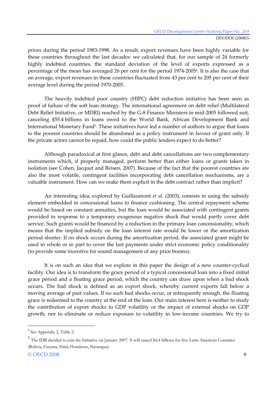prices during the period 1983-1998. As a result, export revenues have been highly variable for these countries throughout the last decades: we calculated that, for our sample of 24 formerly highly indebted countries, the standard deviation of the level of exports expressed as a percentage of the mean has averaged 26 per cent for the period 1974-20054. It is also the case that on average, export revenues in these countries fluctuated from 43 per cent to 205 per cent of their average level during the period 1970-2005.

The heavily indebted poor country (HIPC) debt reduction initiative has been seen as proof of failure of the soft loan strategy. The international agreement on debt relief (Multilateral Debt Relief Initiative, or MDRI) reached by the G-8 Finance Ministers in mid-2005 followed suit, canceling \$55.4 billions in loans owed to the World Bank, African Development Bank and International Monetary Fund<sup>5</sup>. These initiatives have led a number of authors to argue that loans to the poorest countries should be abandoned as a policy instrument in favour of grant only. If the private actors cannot be repaid, how could the public lenders expect to do better?

Although paradoxical at first glance, debt and debt cancellations are two complementary instruments which, if properly managed, perform better than either loans or grants taken in isolation (see Cohen, Jacquet and Reisen, 2007). Because of the fact that the poorest countries are also the most volatile, contingent facilities incorporating debt cancellation mechanisms, are a valuable instrument. How can we make them explicit in the debt contract rather than implicit?

An interesting idea, explored by Guillaumont *et al*. (2003), consists in using the subsidy element embedded in concessional loans to finance cushioning. The central repayment scheme would be based on constant annuities, but the loan would be associated with contingent grants provided in response to a temporary exogenous negative shock that would partly cover debt service. Such grants would be financed by a reduction in the primary loan concessionality, which means that the implied subsidy on the loan interest rate would be lower or the amortization period shorter. If no shock occurs during the amortization period, the associated grant might be used in whole or in part to cover the last payments under strict economic policy conditionality (to provide some incentive for sound management of any price booms).

It is on such an idea that we explore in this paper the design of a new counter-cyclical facility. Our idea is to transform the grace period of a typical concessional loan into a fixed initial grace period and a floating grace period, which the country can draw upon when a bad shock occurs. The bad shock is defined as an export shock, whereby current exports fall below a moving average of past values. If no such bad shocks occur, or infrequently enough, the floating grace is redeemed to the country at the end of the loan. Our main interest here is neither to study the contribution of export shocks to GDP volatility or the impact of external shocks on GDP growth, nor to eliminate or reduce exposure to volatility in low-income countries. We try to

<sup>4</sup> See Appendix 2, Table 2.

<sup>5</sup> The IDB decided to join the Initiative on January 2007. It will cancel \$4,4 billions for five Latin American Countries (Bolivia, Guyana, Haiti, Honduras, Nicaragua).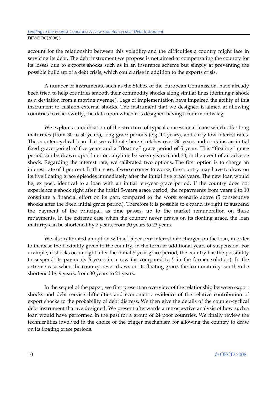account for the relationship between this volatility and the difficulties a country might face in servicing its debt. The debt instrument we propose is not aimed at compensating the country for its losses due to exports shocks such as in an insurance scheme but simply at preventing the possible build up of a debt crisis, which could arise in addition to the exports crisis.

A number of instruments, such as the Stabex of the European Commission, have already been tried to help countries smooth their commodity shocks along similar lines (defining a shock as a deviation from a moving average). Lags of implementation have impaired the ability of this instrument to cushion external shocks. The instrument that we designed is aimed at allowing countries to react swiftly, the data upon which it is designed having a four months lag.

We explore a modification of the structure of typical concessional loans which offer long maturities (from 30 to 50 years), long grace periods (e.g. 10 years), and carry low interest rates. The counter-cyclical loan that we calibrate here stretches over 30 years and contains an initial fixed grace period of five years and a "floating" grace period of 5 years. This "floating" grace period can be drawn upon later on, anytime between years 6 and 30, in the event of an adverse shock. Regarding the interest rate, we calibrated two options. The first option is to charge an interest rate of 1 per cent. In that case, if worse comes to worse, the country may have to draw on its five floating grace episodes immediately after the initial five grace years. The new loan would be, ex post, identical to a loan with an initial ten-year grace period. If the country does not experience a shock right after the initial 5-years grace period, the repayments from years 6 to 10 constitute a financial effort on its part, compared to the worst scenario above (5 consecutive shocks after the fixed initial grace period). Therefore it is possible to expand its right to suspend the payment of the principal, as time passes, up to the market remuneration on these repayments. In the extreme case when the country never draws on its floating grace, the loan maturity can be shortened by 7 years, from 30 years to 23 years.

We also calibrated an option with a 1.5 per cent interest rate charged on the loan, in order to increase the flexibility given to the country, in the form of additional years of suspension. For example, if shocks occur right after the initial 5-year grace period, the country has the possibility to suspend its payments 6 years in a row (as compared to 5 in the former solution). In the extreme case when the country never draws on its floating grace, the loan maturity can then be shortened by 9 years, from 30 years to 21 years.

In the sequel of the paper, we first present an overview of the relationship between export shocks and debt service difficulties and econometric evidence of the relative contribution of export shocks to the probability of debt distress. We then give the details of the counter-cyclical debt instrument that we designed. We present afterwards a retrospective analysis of how such a loan would have performed in the past for a group of 24 poor countries. We finally review the technicalities involved in the choice of the trigger mechanism for allowing the country to draw on its floating grace periods.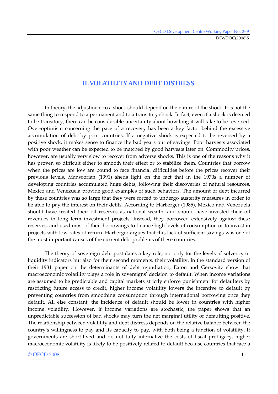DEV/DOC(2008)5

## **II. VOLATILITY AND DEBT DISTRESS**

In theory, the adjustment to a shock should depend on the nature of the shock. It is not the same thing to respond to a permanent and to a transitory shock. In fact, even if a shock is deemed to be transitory, there can be considerable uncertainty about how long it will take to be reversed. Over-optimism concerning the pace of a recovery has been a key factor behind the excessive accumulation of debt by poor countries. If a negative shock is expected to be reversed by a positive shock, it makes sense to finance the bad years out of savings. Poor harvests associated with poor weather can be expected to be matched by good harvests later on. Commodity prices, however, are usually very slow to recover from adverse shocks. This is one of the reasons why it has proven so difficult either to smooth their effect or to stabilize them. Countries that borrow when the prices are low are bound to face financial difficulties before the prices recover their previous levels. Mansoorian (1991) sheds light on the fact that in the 1970s a number of developing countries accumulated huge debts, following their discoveries of natural resources. Mexico and Venezuela provide good examples of such behaviors. The amount of debt incurred by these countries was so large that they were forced to undergo austerity measures in order to be able to pay the interest on their debts. According to Harberger (1985), Mexico and Venezuela should have treated their oil reserves as national wealth, and should have invested their oil revenues in long term investment projects. Instead, they borrowed extensively against these reserves, and used most of their borrowings to finance high levels of consumption or to invest in projects with low rates of return. Harberger argues that this lack of sufficient savings was one of the most important causes of the current debt problems of these countries.

The theory of sovereign debt postulates a key role, not only for the levels of solvency or liquidity indicators but also for their second moments, their volatility. In the standard version of their 1981 paper on the determinants of debt repudiation, Eaton and Gersovitz show that macroeconomic volatility plays a role in sovereigns' decision to default. When income variations are assumed to be predictable and capital markets strictly enforce punishment for defaulters by restricting future access to credit, higher income volatility lowers the incentive to default by preventing countries from smoothing consumption through international borrowing once they default. All else constant, the incidence of default should be lower in countries with higher income volatility. However, if income variations are stochastic, the paper shows that an unpredictable succession of bad shocks may turn the net marginal utility of defaulting positive. The relationship between volatility and debt distress depends on the relative balance between the country's willingness to pay and its capacity to pay, with both being a function of volatility. If governments are short-lived and do not fully internalize the costs of fiscal profligacy, higher macroeconomic volatility is likely to be positively related to default because countries that face a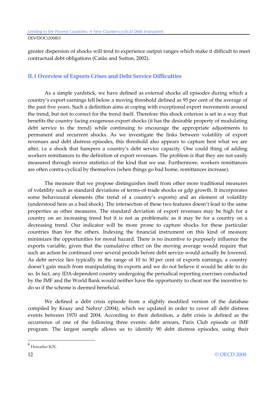greater dispersion of shocks will tend to experience output ranges which make it difficult to meet contractual debt obligations (Catão and Sutton, 2002).

## **II.1 Overview of Exports Crises and Debt Service Difficulties**

As a simple yardstick, we have defined as external shocks all episodes during which a country's export earnings fell below a moving threshold defined as 95 per cent of the average of the past five years. Such a definition aims at coping with exceptional export movements around the trend, but not to correct for the trend itself. Therefore this shock criterion is set in a way that benefits the country facing exogenous export shocks (it has the desirable property of modulating debt service to the trend) while continuing to encourage the appropriate adjustments to permanent and recurrent shocks. As we investigate the links between volatility of export revenues and debt distress episodes, this threshold also appears to capture best what we are after, i.e a shock that hampers a country's debt service capacity. One could thing of adding workers remittances to the definition of export revenues. The problem is that they are not easily measured through mirror statistics of the kind that we use. Furthermore, workers remittances are often contra-cyclical by themselves (when things go bad home, remittances increase).

The measure that we propose distinguishes itself from other more traditional measures of volatility such as standard deviations of terms-of-trade shocks or gdp growth. It incorporates some behavioural elements (the trend of a country's exports) and an element of volatility (understood here as a bad shock). The intersection of these two features doesn't lead to the same properties as other measures. The standard deviation of export revenues may be high for a country on an increasing trend but it is not as problematic as it may be for a country on a decreasing trend. Our indicator will be more prone to capture shocks for these particular countries than for the others. Indexing the financial instrument on this kind of measure minimizes the opportunities for moral hazard. There is no incentive to purposely influence the exports variable, given that the cumulative effect on the moving average would require that such an action be continued over several periods before debt service would actually be lowered. As debt service lies typically in the range of 10 to 30 per cent of exports earnings, a country doesn't gain much from manipulating its exports and we do not believe it would be able to do so. In fact, any IDA-dependent country undergoing the periodical reporting exercises conducted by the IMF and the World Bank would neither have the opportunity to cheat nor the incentive to do so if the scheme is deemed beneficial.

We defined a debt crisis episode from a slightly modified version of the database compiled by Kraay and Nehru $\epsilon$  (2004), which we updated in order to cover all debt distress events between 1970 and 2004. According to their definition, a debt crisis is defined as the occurrence of one of the following three events: debt arrears, Paris Club episode or IMF program. The largest sample allows us to identify 90 debt distress episodes, using their

 $^6$  Hereafter KN.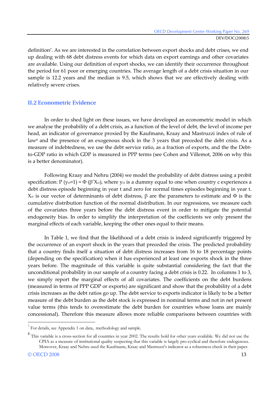definition7. As we are interested in the correlation between export shocks and debt crises, we end up dealing with 68 debt distress events for which data on export earnings and other covariates are available. Using our definition of export shocks, we can identify their occurrence throughout the period for 61 poor or emerging countries. The average length of a debt crisis situation in our sample is 12.2 years and the median is 9.5, which shows that we are effectively dealing with relatively severe crises.

#### **II.2 Econometric Evidence**

In order to shed light on these issues, we have developed an econometric model in which we analyse the probability of a debt crisis, as a function of the level of debt, the level of income per head, an indicator of governance proxied by the Kaufmann, Kraay and Mastruzzi index of rule of law<sup>8</sup> and the presence of an exogenous shock in the 3 years that preceded the debt crisis. As a measure of indebtedness, we use the debt service ratio, as a fraction of exports, and the the Debtto-GDP ratio in which GDP is measured in PPP terms (see Cohen and Villemot, 2006 on why this is a better denominator).

Following Kraay and Nehru (2004) we model the probability of debt distress using a probit specification:  $P(y_{ct}=1) = \Phi(\beta'X_{ct})$ , where  $y_{ct}$  is a dummy equal to one when country c experiences a debt distress episode beginning in year t and zero for normal times episodes beginning in year t. X<sub>ct</sub> is our vector of determinants of debt distress,  $β$  are the parameters to estimate and  $Φ$  is the cumulative distribution function of the normal distribution. In our regressions, we measure each of the covariates three years before the debt distress event in order to mitigate the potential endogeneity bias. In order to simplify the interpretation of the coefficients we only present the marginal effects of each variable, keeping the other ones equal to their means.

In Table 1, we find that the likelihood of a debt crisis is indeed significantly triggered by the occurrence of an export shock in the years that preceded the crisis. The predicted probability that a country finds itself a situation of debt distress increases from 16 to 18 percentage points (depending on the specification) when it has experienced at least one exports shock in the three years before. The magnitude of this variable is quite substantial considering the fact that the unconditional probability in our sample of a country facing a debt crisis is 0.22. In columns 1 to 3, we simply report the marginal effects of all covariates. The coefficients on the debt burdens (measured in terms of PPP GDP or exports) are significant and show that the probability of a debt crisis increases as the debt ratios go up. The debt service to exports indicator is likely to be a better measure of the debt burden as the debt stock is expressed in nominal terms and not in net present value terms (this tends to overestimate the debt burden for countries whose loans are mainly concessional). Therefore this measure allows more reliable comparisons between countries with

 $7$  For details, see Appendix 1 on data, methodology and sample.

<sup>8</sup> This variable is a cross-section for all countries in year 2002. The results hold for other years available. We did not use the CPIA as a measure of institutional quality suspecting that this variable is largely pro-cyclical and therefore endogenous. Moreover, Kraay and Nehru used the Kaufmann, Kraay and Mastruzzi's indicator as a robustness check in their paper.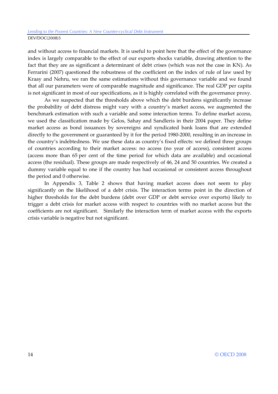and without access to financial markets. It is useful to point here that the effect of the governance index is largely comparable to the effect of our exports shocks variable, drawing attention to the fact that they are as significant a determinant of debt crises (which was not the case in KN). As Ferrarini (2007) questioned the robustness of the coefficient on the index of rule of law used by Kraay and Nehru, we ran the same estimations without this governance variable and we found that all our parameters were of comparable magnitude and significance. The real GDP per capita is not significant in most of our specifications, as it is highly correlated with the governance proxy.

As we suspected that the thresholds above which the debt burdens significantly increase the probability of debt distress might vary with a country's market access, we augmented the benchmark estimation with such a variable and some interaction terms. To define market access, we used the classification made by Gelos, Sahay and Sandleris in their 2004 paper. They define market access as bond issuances by sovereigns and syndicated bank loans that are extended directly to the government or guaranteed by it for the period 1980-2000, resulting in an increase in the country's indebtedness. We use these data as country's fixed effects: we defined three groups of countries according to their market access: no access (no year of access), consistent access (access more than 65 per cent of the time period for which data are available) and occasional access (the residual). These groups are made respectively of 46, 24 and 50 countries. We created a dummy variable equal to one if the country has had occasional or consistent access throughout the period and 0 otherwise.

In Appendix 3, Table 2 shows that having market access does not seem to play significantly on the likelihood of a debt crisis. The interaction terms point in the direction of higher thresholds for the debt burdens (debt over GDP or debt service over exports) likely to trigger a debt crisis for market access with respect to countries with no market access but the coefficients are not significant. Similarly the interaction term of market access with the exports crisis variable is negative but not significant.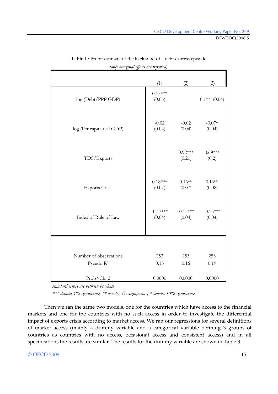DEV/DOC(2008)5

|                                                 | (1)                  | (2)                  | (3)                  |
|-------------------------------------------------|----------------------|----------------------|----------------------|
| log (Debt/PPP GDP)                              | $0.15***$<br>(0.05)  |                      | $0.1**$ (0.04)       |
| log (Per capita real GDP)                       | $-0.02$<br>(0.04)    | $-0.02$<br>(0.04)    | $-0.07*$<br>(0.04)   |
| TDS/Exports                                     |                      | $0.92***$<br>(0.21)  | $0.69***$<br>(0.2)   |
| <b>Exports Crisis</b>                           | $0.18***$<br>(0.07)  | $0.16**$<br>(0.07)   | $0.16**$<br>(0.08)   |
| Index of Rule of Law                            | $-0.17***$<br>(0.04) | $-0.15***$<br>(0.04) | $-0.15***$<br>(0.04) |
|                                                 |                      |                      |                      |
| Number of observations<br>Pseudo R <sup>2</sup> | 253<br>0.15          | 253<br>0.16          | 253<br>0.19          |
| Prob>Chi 2                                      | 0.0000               | 0.0000               | 0.0000               |

**Table 1** : Probit estimate of the likelihood of a debt distress episode *(only marginal effects are reported)* 

*standard errors are between brackets* 

*\*\*\* denotes 1% significance, \*\* denotes 5% significance, \* denotes 10% significance* 

Then we ran the same two models, one for the countries which have access to the financial markets and one for the countries with no such access in order to investigate the differential impact of exports crisis according to market access. We ran our regressions for several definitions of market access (mainly a dummy variable and a categorical variable defining 3 groups of countries as countries with no access, occasional access and consistent access) and in all specifications the results are similar. The results for the dummy variable are shown in Table 3.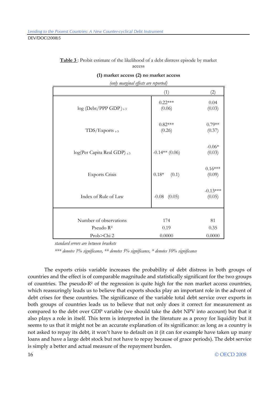| (only marginal effects are reported) |                        |                      |  |
|--------------------------------------|------------------------|----------------------|--|
|                                      | (1)                    | (2)                  |  |
| $\log$ (Debt/PPP GDP) <sub>t-3</sub> | $0.22***$<br>(0.06)    | 0.04<br>(0.03)       |  |
| $TDS/Exports$ <sub>t-3</sub>         | $0.82***$<br>(0.26)    | $0.79**$<br>(0.37)   |  |
| log(Per Capita Real GDP) t-3         | $-0.14**$ (0.06)       | $-0.06*$<br>(0.03)   |  |
| <b>Exports Crisis</b>                | $0.18^{\ast}$<br>(0.1) | $0.16***$<br>(0.09)  |  |
| Index of Rule of Law                 | $-0.08$ $(0.05)$       | $-0.13***$<br>(0.05) |  |
|                                      |                        |                      |  |
| Number of observations               | 174                    | 81                   |  |
| Pseudo $R^2$                         | 0.19                   | 0.35                 |  |
| Prob>Chi 2                           | 0.0000                 | 0.0000               |  |

**Table 3** : Probit estimate of the likelihood of a debt distress episode by market access

|  |  |  | (1) market access (2) no market access |
|--|--|--|----------------------------------------|
|--|--|--|----------------------------------------|

*standard errors are between brackets* 

*\*\*\* denotes 1% significance, \*\* denotes 5% significance, \* denotes 10% significance* 

The exports crisis variable increases the probability of debt distress in both groups of countries and the effect is of comparable magnitude and statistically significant for the two groups of countries. The pseudo-R² of the regression is quite high for the non market access countries, which reassuringly leads us to believe that exports shocks play an important role in the advent of debt crises for these countries. The significance of the variable total debt service over exports in both groups of countries leads us to believe that not only does it correct for measurement as compared to the debt over GDP variable (we should take the debt NPV into account) but that it also plays a role in itself. This term is interpreted in the literature as a proxy for liquidity but it seems to us that it might not be an accurate explanation of its significance: as long as a country is not asked to repay its debt, it won't have to default on it (it can for example have taken up many loans and have a large debt stock but not have to repay because of grace periods). The debt service is simply a better and actual measure of the repayment burden.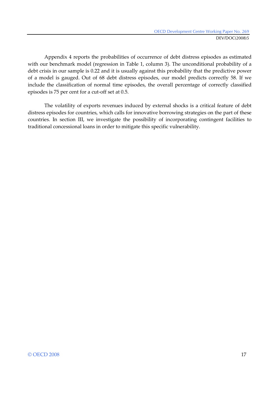Appendix 4 reports the probabilities of occurrence of debt distress episodes as estimated with our benchmark model (regression in Table 1, column 3). The unconditional probability of a debt crisis in our sample is 0.22 and it is usually against this probability that the predictive power of a model is gauged. Out of 68 debt distress episodes, our model predicts correctly 58. If we include the classification of normal time episodes, the overall percentage of correctly classified episodes is 75 per cent for a cut-off set at 0.5.

The volatility of exports revenues induced by external shocks is a critical feature of debt distress episodes for countries, which calls for innovative borrowing strategies on the part of these countries. In section III, we investigate the possibility of incorporating contingent facilities to traditional concessional loans in order to mitigate this specific vulnerability.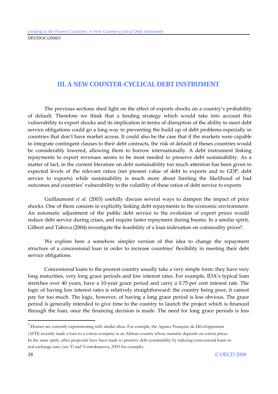## **III. A NEW COUNTER-CYCLICAL DEBT INSTRUMENT**

The previous sections shed light on the effect of exports shocks on a country's probability of default. Therefore we think that a lending strategy which would take into account this vulnerability to export shocks and its implication in terms of disruption of the ability to meet debt service obligations could go a long way in preventing the build up of debt problems especially in countries that don't have market access. It could also be the case that if the markets were capable to integrate contingent clauses to their debt contracts, the risk of default of theses countries would be considerably lowered, allowing them to borrow internationally. A debt instrument linking repayments to export revenues seems to be most needed to preserve debt sustainability. As a matter of fact, in the current literature on debt sustainability too much attention has been given to expected levels of the relevant ratios (net present value of debt to exports and to GDP, debt service to exports) while sustainability is much more about limiting the likelihood of bad outcomes and countries' vulnerability to the volatility of these ratios of debt service to exports.

Guillaumont *et al.* (2003) usefully discuss several ways to dampen the impact of price shocks. One of them consists in explicitly linking debt repayments to the economic environment. An automatic adjustment of the public debt service to the evolution of export prices would reduce debt service during crises, and require faster repayment during booms. In a similar spirit, Gilbert and Tabova (2004) investigate the feasibility of a loan indexation on commodity prices<sup>9</sup>.

We explore here a somehow simpler version of this idea to change the repayment structure of a concessional loan in order to increase countries' flexibility in meeting their debt service obligations.

Concessional loans to the poorest country usually take a very simple form: they have very long maturities, very long grace periods and low interest rates. For example, IDA's typical loan stretches over 40 years, have a 10-year grace period and carry a 0.75 per cent interest rate. The logic of having low interest rates is relatively straightforward: the country being poor, it cannot pay for too much. The logic, however, of having a long grace period is less obvious. The grace period is generally intended to give time to the country to launch the project which is financed through the loan, once the financing decision is made. The need for long grace periods is less

-

<sup>&</sup>lt;sup>9</sup> Donors are currently experimenting with similar ideas. For example, the Agence Française de Développement

<sup>(</sup>AFD) recently made a loan to a cotton company in an African country whose maturity depends on cotton prices. In the same spirit, other proposals have been made to preserve debt sustainability by indexing concessional loans to real exchange rates (see Yi and Vostroknutova, 2005 for example).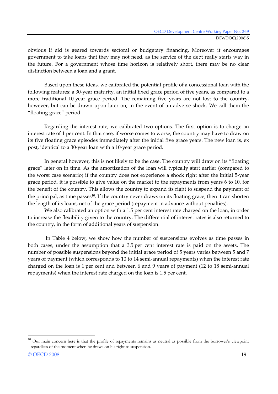obvious if aid is geared towards sectoral or budgetary financing. Moreover it encourages government to take loans that they may not need, as the service of the debt really starts way in the future. For a government whose time horizon is relatively short, there may be no clear distinction between a loan and a grant.

Based upon these ideas, we calibrated the potential profile of a concessional loan with the following features: a 30-year maturity, an initial fixed grace period of five years, as compared to a more traditional 10-year grace period. The remaining five years are not lost to the country, however, but can be drawn upon later on, in the event of an adverse shock. We call them the "floating grace" period.

Regarding the interest rate, we calibrated two options. The first option is to charge an interest rate of 1 per cent. In that case, if worse comes to worse, the country may have to draw on its five floating grace episodes immediately after the initial five grace years. The new loan is, ex post, identical to a 30-year loan with a 10-year grace period.

In general however, this is not likely to be the case. The country will draw on its "floating grace" later on in time. As the amortization of the loan will typically start earlier (compared to the worst case scenario) if the country does not experience a shock right after the initial 5-year grace period, it is possible to give value on the market to the repayments from years 6 to 10, for the benefit of the country. This allows the country to expand its right to suspend the payment of the principal, as time passes<sup>10</sup>. If the country never draws on its floating grace, then it can shorten the length of its loans, net of the grace period (repayment in advance without penalties).

We also calibrated an option with a 1.5 per cent interest rate charged on the loan, in order to increase the flexibility given to the country. The differential of interest rates is also returned to the country, in the form of additional years of suspension.

 In Table 4 below, we show how the number of suspensions evolves as time passes in both cases, under the assumption that a 3.5 per cent interest rate is paid on the assets. The number of possible suspensions beyond the initial grace period of 5 years varies between 5 and 7 years of payment (which corresponds to 10 to 14 semi-annual repayments) when the interest rate charged on the loan is 1 per cent and between 6 and 9 years of payment (12 to 18 semi-annual repayments) when the interest rate charged on the loan is 1.5 per cent.

<sup>&</sup>lt;sup>10</sup> Our main concern here is that the profile of repayments remains as neutral as possible from the borrower's viewpoint regardless of the moment when he draws on his right to suspension.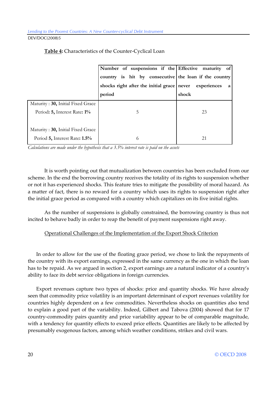|                                   | Number of suspensions if the Effective maturity of    |                  |
|-----------------------------------|-------------------------------------------------------|------------------|
|                                   | country is hit by consecutive the loan if the country |                  |
|                                   | shocks right after the initial grace never            | experiences<br>a |
|                                   | period                                                | shock            |
| Maturity: 30, Initial Fixed Grace |                                                       |                  |
| Period: 5, Interest Rate: 1%      | 5                                                     | 23               |
|                                   |                                                       |                  |
| Maturity: 30, Initial Fixed Grace |                                                       |                  |
| Period 5, Interest Rate: 1.5%     | 6                                                     | 21               |

#### **Table 4:** Characteristics of the Counter-Cyclical Loan

*Calculations are made under the hypothesis that a 3.5% interest rate is paid on the assets* 

It is worth pointing out that mutualization between countries has been excluded from our scheme. In the end the borrowing country receives the totality of its rights to suspension whether or not it has experienced shocks. This feature tries to mitigate the possibility of moral hazard. As a matter of fact, there is no reward for a country which uses its rights to suspension right after the initial grace period as compared with a country which capitalizes on its five initial rights.

As the number of suspensions is globally constrained, the borrowing country is thus not incited to behave badly in order to reap the benefit of payment suspensions right away.

#### Operational Challenges of the Implementation of the Export Shock Criterion

In order to allow for the use of the floating grace period, we chose to link the repayments of the country with its export earnings, expressed in the same currency as the one in which the loan has to be repaid. As we argued in section 2, export earnings are a natural indicator of a country's ability to face its debt service obligations in foreign currencies.

Export revenues capture two types of shocks: price and quantity shocks. We have already seen that commodity price volatility is an important determinant of export revenues volatility for countries highly dependent on a few commodities. Nevertheless shocks on quantities also tend to explain a good part of the variability. Indeed, Gilbert and Tabova (2004) showed that for 17 country-commodity pairs quantity and price variability appear to be of comparable magnitude, with a tendency for quantity effects to exceed price effects. Quantities are likely to be affected by presumably exogenous factors, among which weather conditions, strikes and civil wars.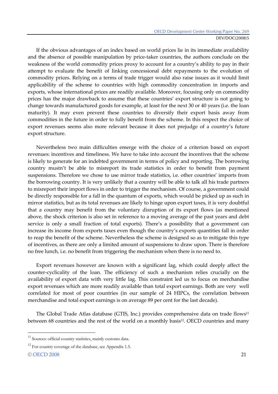If the obvious advantages of an index based on world prices lie in its immediate availability and the absence of possible manipulation by price-taker countries, the authors conclude on the weakness of the world commodity prices proxy to account for a country's ability to pay in their attempt to evaluate the benefit of linking concessional debt repayments to the evolution of commodity prices. Relying on a terms of trade trigger would also raise issues as it would limit applicability of the scheme to countries with high commodity concentration in imports and exports, whose international prices are readily available. Moreover, focusing only on commodity prices has the major drawback to assume that these countries' export structure is not going to change towards manufactured goods for example, at least for the next 30 or 40 years (i.e. the loan maturity). It may even prevent these countries to diversify their export basis away from commodities in the future in order to fully benefit from the scheme. In this respect the choice of export revenues seems also more relevant because it does not prejudge of a country's future export structure.

Nevertheless two main difficulties emerge with the choice of a criterion based on export revenues: incentives and timeliness. We have to take into account the incentives that the scheme is likely to generate for an indebted government in terms of policy and reporting. The borrowing country mustn't be able to misreport its trade statistics in order to benefit from payment suspensions. Therefore we chose to use mirror trade statistics, i.e. other countries' imports from the borrowing country. It is very unlikely that a country will be able to talk all his trade partners to misreport their import flows in order to trigger the mechanism. Of course, a government could be directly responsible for a fall in the quantum of exports, which would be picked up as such in mirror statistics, but as its total revenues are likely to hinge upon export taxes, it is very doubtful that a country may benefit from the voluntary disruption of its export flows (as mentioned above, the shock criterion is also set in reference to a moving average of the past years and debt service is only a small fraction of total exports). There's a possibility that a government can increase its income from exports taxes even though the country's exports quantities fall in order to reap the benefit of the scheme. Nevertheless the scheme is designed so as to mitigate this type of incentives, as there are only a limited amount of suspensions to draw upon. There is therefore no free lunch, i.e. no benefit from triggering the mechanism when there is no need to.

Export revenues however are known with a significant lag, which could deeply affect the counter-cyclicality of the loan. The efficiency of such a mechanism relies crucially on the availability of export data with very little lag. This constraint led us to focus on merchandise export revenues which are more readily available than total export earnings. Both are very well correlated for most of poor countries (in our sample of 24 HIPCs, the correlation between merchandise and total export earnings is on average 89 per cent for the last decade).

The Global Trade Atlas database (GTIS, Inc.) provides comprehensive data on trade flows<sup>11</sup> between 68 countries and the rest of the world on a monthly basis<sup>12</sup>. OECD countries and many

-

<sup>&</sup>lt;sup>11</sup> Sources: official country statistics, mainly customs data.

<sup>&</sup>lt;sup>12</sup> For country coverage of the database, see Appendix 1.5.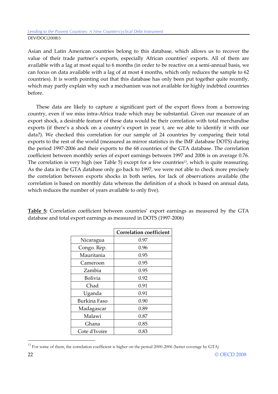#### Lending to the Poorest Countries: A New Counter-cyclical Debt Instrument DEV/DOC(2008)5

Asian and Latin American countries belong to this database, which allows us to recover the value of their trade partner's exports, especially African countries' exports. All of them are available with a lag at most equal to 6 months (in order to be reactive on a semi-annual basis, we can focus on data available with a lag of at most 4 months, which only reduces the sample to 62 countries). It is worth pointing out that this database has only been put together quite recently, which may partly explain why such a mechanism was not available for highly indebted countries before.

These data are likely to capture a significant part of the export flows from a borrowing country, even if we miss intra-Africa trade which may be substantial. Given our measure of an export shock, a desirable feature of these data would be their correlation with total merchandise exports (if there's a shock on a country's export in year t, are we able to identify it with our data?). We checked this correlation for our sample of 24 countries by comparing their total exports to the rest of the world (measured as mirror statistics in the IMF database DOTS) during the period 1997-2006 and their exports to the 68 countries of the GTA database. The correlation coefficient between monthly series of export earnings between 1997 and 2006 is on average 0.76. The correlation is very high (see Table 5) except for a few countries<sup>13</sup>, which is quite reassuring. As the data in the GTA database only go back to 1997, we were not able to check more precisely the correlation between exports shocks in both series, for lack of observations available (the correlation is based on monthly data whereas the definition of a shock is based on annual data, which reduces the number of years available to only five).

|                | <b>Correlation coefficient</b> |
|----------------|--------------------------------|
| Nicaragua      | 0.97                           |
| Congo. Rep.    | 0.96                           |
| Mauritania     | 0.95                           |
| Cameroon       | 0.95                           |
| Zambia         | 0.95                           |
| <b>Bolivia</b> | 0.92                           |
| Chad           | 0.91                           |
| Uganda         | 0.91                           |
| Burkina Faso   | 0.90                           |
| Madagascar     | 0.89                           |
| Malawi         | 0.87                           |
| Ghana          | 0.85                           |
| Cote d'Ivoire  | 0.83                           |

**Table 5:** Correlation coefficient between countries' export earnings as measured by the GTA database and total export earnings as measured in DOTS (1997-2006)

 $^{13}$  For some of them, the correlation coefficient is higher on the period 2000-2006 (better coverage by GTA)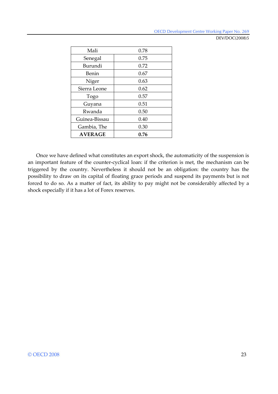OECD Development Centre Working Paper No. 269

DEV/DOC(2008)5

| Mali           | 0.78 |
|----------------|------|
| Senegal        | 0.75 |
| Burundi        | 0.72 |
| Benin          | 0.67 |
| Niger          | 0.63 |
| Sierra Leone   | 0.62 |
| Togo           | 0.57 |
| Guyana         | 0.51 |
| Rwanda         | 0.50 |
| Guinea-Bissau  | 0.40 |
| Gambia, The    | 0.30 |
| <b>AVERAGE</b> | 0.76 |

Once we have defined what constitutes an export shock, the automaticity of the suspension is an important feature of the counter-cyclical loan: if the criterion is met, the mechanism can be triggered by the country. Nevertheless it should not be an obligation: the country has the possibility to draw on its capital of floating grace periods and suspend its payments but is not forced to do so. As a matter of fact, its ability to pay might not be considerably affected by a shock especially if it has a lot of Forex reserves.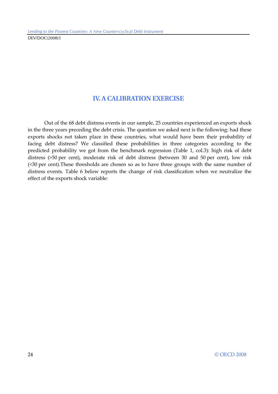## **IV. A CALIBRATION EXERCISE**

Out of the 68 debt distress events in our sample, 25 countries experienced an exports shock in the three years preceding the debt crisis. The question we asked next is the following: had these exports shocks not taken place in these countries, what would have been their probability of facing debt distress? We classified these probabilities in three categories according to the predicted probability we got from the benchmark regression (Table 1, col.3): high risk of debt distress (>50 per cent), moderate risk of debt distress (between 30 and 50 per cent), low risk (<30 per cent).These thresholds are chosen so as to have three groups with the same number of distress events. Table 6 below reports the change of risk classification when we neutralize the effect of the exports shock variable: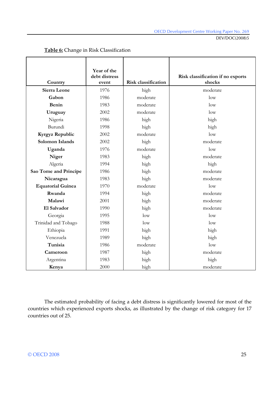DEV/DOC(2008)5

| Country                  | Year of the<br>debt distress<br>event | <b>Risk classification</b> | Risk classification if no exports<br>shocks |
|--------------------------|---------------------------------------|----------------------------|---------------------------------------------|
| Sierra Leone             | 1976                                  | high                       | moderate                                    |
| Gabon                    | 1986                                  | moderate                   | low                                         |
| <b>Benin</b>             | 1983                                  | moderate                   | low                                         |
| Uruguay                  | 2002                                  | moderate                   | low                                         |
| Nigeria                  | 1986                                  | high                       | high                                        |
| Burundi                  | 1998                                  | high                       | high                                        |
| Kyrgyz Republic          | 2002                                  | moderate                   | low                                         |
| Solomon Islands          | 2002                                  | high                       | moderate                                    |
| Uganda                   | 1976                                  | moderate                   | low                                         |
| Niger                    | 1983                                  | high                       | moderate                                    |
| Algeria                  | 1994                                  | high                       | high                                        |
| Sao Tome and Principe    | 1986                                  | high                       | moderate                                    |
| Nicaragua                | 1983                                  | high                       | moderate                                    |
| <b>Equatorial Guinea</b> | 1970                                  | moderate                   | low                                         |
| Rwanda                   | 1994                                  | high                       | moderate                                    |
| Malawi                   | 2001                                  | high                       | moderate                                    |
| El Salvador              | 1990                                  | high                       | moderate                                    |
| Georgia                  | 1995                                  | low                        | low                                         |
| Trinidad and Tobago      | 1988                                  | low                        | low                                         |
| Ethiopia                 | 1991                                  | high                       | high                                        |
| Venezuela                | 1989                                  | high                       | high                                        |
| Tunisia                  | 1986                                  | moderate                   | low                                         |
| Cameroon                 | 1987                                  | high                       | moderate                                    |
| Argentina                | 1983                                  | high                       | high                                        |
| Kenya                    | 2000                                  | high                       | moderate                                    |

#### **Table 6:** Change in Risk Classification

The estimated probability of facing a debt distress is significantly lowered for most of the countries which experienced exports shocks, as illustrated by the change of risk category for 17 countries out of 25.

#### © OECD 2008 25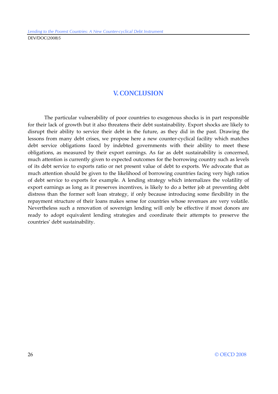## **V. CONCLUSION**

The particular vulnerability of poor countries to exogenous shocks is in part responsible for their lack of growth but it also threatens their debt sustainability. Export shocks are likely to disrupt their ability to service their debt in the future, as they did in the past. Drawing the lessons from many debt crises, we propose here a new counter-cyclical facility which matches debt service obligations faced by indebted governments with their ability to meet these obligations, as measured by their export earnings. As far as debt sustainability is concerned, much attention is currently given to expected outcomes for the borrowing country such as levels of its debt service to exports ratio or net present value of debt to exports. We advocate that as much attention should be given to the likelihood of borrowing countries facing very high ratios of debt service to exports for example. A lending strategy which internalizes the volatility of export earnings as long as it preserves incentives, is likely to do a better job at preventing debt distress than the former soft loan strategy, if only because introducing some flexibility in the repayment structure of their loans makes sense for countries whose revenues are very volatile. Nevertheless such a renovation of sovereign lending will only be effective if most donors are ready to adopt equivalent lending strategies and coordinate their attempts to preserve the countries' debt sustainability.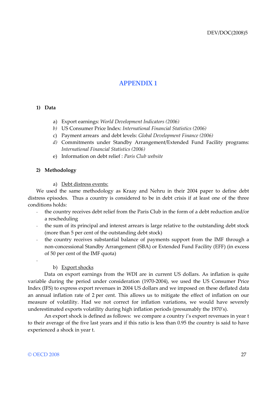## **APPENDIX 1**

#### **1) Data**

- a) Export earnings: *World Development Indicators (2006)*
- *b)* US Consumer Price Index: *International Financial Statistics (2006)*
- c) Payment arrears and debt levels: *Global Development Finance (2006)*
- *d)* Commitments under Standby Arrangement/Extended Fund Facility programs: *International Financial Statistics (2006)*
- e) Information on debt relief : *Paris Club website*

#### **2) Methodology**

a) Debt distress events:

We used the same methodology as Kraay and Nehru in their 2004 paper to define debt distress episodes. Thus a country is considered to be in debt crisis if at least one of the three conditions holds:

- the country receives debt relief from the Paris Club in the form of a debt reduction and/or a rescheduling
- the sum of its principal and interest arrears is large relative to the outstanding debt stock (more than 5 per cent of the outstanding debt stock)
- the country receives substantial balance of payments support from the IMF through a non-concessional Standby Arrangement (SBA) or Extended Fund Facility (EFF) (in excess of 50 per cent of the IMF quota)

#### b) Export shocks

Data on export earnings from the WDI are in current US dollars. As inflation is quite variable during the period under consideration (1970-2004), we used the US Consumer Price Index (IFS) to express export revenues in 2004 US dollars and we imposed on these deflated data an annual inflation rate of 2 per cent. This allows us to mitigate the effect of inflation on our measure of volatility. Had we not correct for inflation variations, we would have severely underestimated exports volatility during high inflation periods (presumably the 1970's).

 An export shock is defined as follows: we compare a country i's export revenues in year t to their average of the five last years and if this ratio is less than 0.95 the country is said to have experienced a shock in year t.

-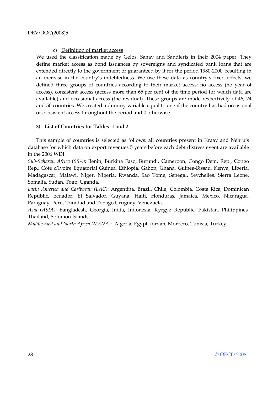#### c) Definition of market access

We used the classification made by Gelos, Sahay and Sandleris in their 2004 paper. They define market access as bond issuances by sovereigns and syndicated bank loans that are extended directly to the government or guaranteed by it for the period 1980-2000, resulting in an increase in the country's indebtedness. We use these data as country's fixed effects: we defined three groups of countries according to their market access: no access (no year of access), consistent access (access more than 65 per cent of the time period for which data are available) and occasional access (the residual). These groups are made respectively of 46, 24 and 50 countries. We created a dummy variable equal to one if the country has had occasional or consistent access throughout the period and 0 otherwise.

#### **3) List of Countries for Tables 1 and 2**

This sample of countries is selected as follows: all countries present in Kraay and Nehru's database for which data on export revenues 5 years before each debt distress event are available in the 2006 WDI.

*Sub-Saharan Africa (SSA)***:** Benin, Burkina Faso, Burundi, Cameroon, Congo Dem. Rep., Congo Rep., Cote d'Ivoire Equatorial Guinea, Ethiopia, Gabon, Ghana, Guinea-Bissau, Kenya, Liberia, Madagascar, Malawi, Niger, Nigeria, Rwanda, Sao Tome, Senegal, Seychelles, Sierra Leone, Somalia, Sudan, Togo, Uganda.

*Latin America and Caribbean (LAC)*: Argentina, Brazil, Chile, Colombia, Costa Rica, Dominican Republic, Ecuador, El Salvador, Guyana, Haiti, Honduras, Jamaica, Mexico, Nicaragua, Paraguay, Peru, Trinidad and Tobago Uruguay, Venezuela.

*Asia (ASIA):* Bangladesh, Georgia, India, Indonesia, Kyrgyz Republic, Pakistan, Philippines, Thailand, Solomon Islands.

*Middle East and North Africa (MENA):* Algeria, Egypt, Jordan, Morocco, Tunisia, Turkey.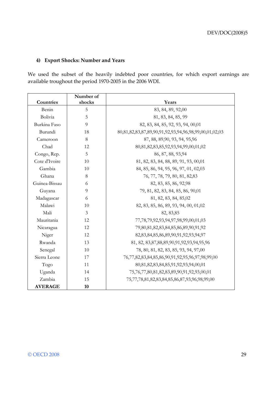#### **4) Export Shocks: Number and Years**

We used the subset of the heavily indebted poor countries, for which export earnings are available troughout the period 1970-2005 in the 2006 WDI.

|                | Number of |                                                            |
|----------------|-----------|------------------------------------------------------------|
| Countries      | shocks    | Years                                                      |
| Benin          | 5         | 83, 84, 89, 92,00                                          |
| Bolivia        | 5         | 81, 83, 84, 85, 99                                         |
| Burkina Faso   | 9         | 82, 83, 84, 85, 92, 93, 94, 00,01                          |
| Burundi        | 18        | 80,81,82,83,87,89,90,91,92,93,94,96,98,99,00,01,02,03      |
| Cameroon       | 8         | 87, 88, 89, 90, 93, 94, 95, 96                             |
| Chad           | 12        | 80,81,82,83,85,92,93,94,99,00,01,02                        |
| Congo, Rep.    | 5         | 86, 87, 88, 93, 94                                         |
| Cote d'Ivoire  | 10        | 81, 82, 83, 84, 88, 89, 91, 93, 00,01                      |
| Gambia         | 10        | 84, 85, 86, 94, 95, 96, 97, 01, 02,03                      |
| Ghana          | 8         | 76, 77, 78, 79, 80, 81, 82, 83                             |
| Guinea-Bissau  | 6         | 82, 83, 85, 86, 92, 98                                     |
| Guyana         | 9         | 79, 81, 82, 83, 84, 85, 86, 90,01                          |
| Madagascar     | 6         | 81, 82, 83, 84, 85,02                                      |
| Malawi         | 10        | 82, 83, 85, 86, 89, 93, 94, 00, 01,02                      |
| Mali           | 3         | 82, 83, 85                                                 |
| Mauritania     | 12        | 77,78,79,92,93,94,97,98,99,00,01,03                        |
| Nicaragua      | 12        | 79,80,81,82,83,84,85,86,89,90,91,92                        |
| Niger          | 12        | 82,83,84,85,86,89,90,91,92,93,94,97                        |
| Rwanda         | 13        | 81, 82, 83, 87, 88, 89, 90, 91, 92, 93, 94, 95, 96         |
| Senegal        | 10        | 78, 80, 81, 82, 83, 85, 93, 94, 97,00                      |
| Sierra Leone   | 17        | 76,77,82,83,84,85,86,90,91,92,95,96,97,98,99,00            |
| Togo           | 11        | 80,81,82,83,84,85,91,92,93,94,00,01                        |
| Uganda         | 14        | 75, 76, 77, 80, 81, 82, 83, 89, 90, 91, 92, 93, 00, 01     |
| Zambia         | 15        | 75, 77, 78, 81, 82, 83, 84, 85, 86, 87, 93, 96, 98, 99, 00 |
| <b>AVERAGE</b> | 10        |                                                            |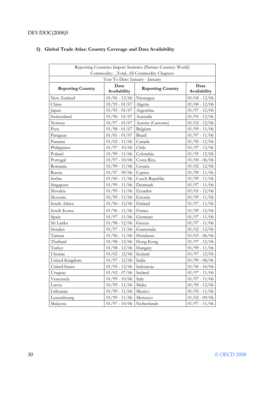## DEV/DOC(2008)5

| Reporting Countries Import Statistics (Partner Country: World)<br>Commodity: _Total, All Commodity Chapters |                                                  |                   |                      |  |
|-------------------------------------------------------------------------------------------------------------|--------------------------------------------------|-------------------|----------------------|--|
|                                                                                                             | Year To Date: January - January                  |                   |                      |  |
| <b>Reporting Country</b>                                                                                    | Data<br><b>Reporting Country</b><br>Availability |                   | Data<br>Availability |  |
| New Zealand                                                                                                 | $01/96 - 12/06$                                  | Nicaragua         | $01/04 - 12/06$      |  |
| China                                                                                                       | $01/95 - 01/07$                                  | Algeria           | $01/00 - 12/06$      |  |
| Japan                                                                                                       | $01/95 - 01/07$                                  | Argentina         | $01/97 - 12/06$      |  |
| Switzerland                                                                                                 | $01/96 - 01/07$                                  | Australia         | $01/95 - 12/06$      |  |
| Norway                                                                                                      | $01/97 - 01/07$                                  | Austria (Customs) | $01/02 - 12/06$      |  |
| Peru                                                                                                        | $01/98 - 01/07$                                  | Belgium           | $01/99 - 11/06$      |  |
| Paraguay                                                                                                    | $01/01 - 01/07$                                  | Brazil            | $01/97 - 11/06$      |  |
| Panama                                                                                                      | $01/02 - 11/06$                                  | Canada            | $01/95 - 12/06$      |  |
| Philippines                                                                                                 | $01/97 - 10/06$                                  | Chile             | $01/97 - 12/06$      |  |
| Poland                                                                                                      | $01/99 - 11/06$                                  | Colombia          | $01/95 - 12/06$      |  |
| Portugal                                                                                                    | $01/97 - 10/06$                                  | Costa Rica        | $01/00 - 06/06$      |  |
| Romania                                                                                                     | $01/99 - 11/06$                                  | Croatia           | $01/02 - 12/06$      |  |
| Russia                                                                                                      | $01/97 - 09/06$                                  | Cyprus            | $01/99 - 11/06$      |  |
| Serbia                                                                                                      | $01/00 - 11/06$                                  | Czech Republic    | $01/99 - 11/06$      |  |
| Singapore                                                                                                   | $01/99 - 11/06$                                  | Denmark           | $01/97 - 11/06$      |  |
| Slovakia                                                                                                    | $01/99 - 11/06$                                  | Ecuador           | $01/01 - 12/06$      |  |
| Slovenia                                                                                                    | $01/99 - 11/06$                                  | Estonia           | 01/99 - 11/06        |  |
| South Africa                                                                                                | $01/96 - 12/06$                                  | Finland           | $01/97 - 11/06$      |  |
| South Korea                                                                                                 | $01/96 - 11/06$                                  | France            | 01/99 - 12/06        |  |
| Spain                                                                                                       | $01/97 - 11/06$                                  | Germany           | $01/97 - 11/06$      |  |
| Sri Lanka                                                                                                   | $01/98 - 12/06$                                  | Greece            | $01/97 - 11/06$      |  |
| Sweden                                                                                                      | $01/97 - 11/06$                                  | Guatemala         | $01/02 - 12/06$      |  |
| Taiwan                                                                                                      | $01/96 - 11/06$                                  | Honduras          | $01/03 - 06/06$      |  |
| Thailand                                                                                                    | $01/98 - 12/06$                                  | Hong Kong         | $01/97$ - $12/06\,$  |  |
| Turkev                                                                                                      | $01/98 - 12/06$                                  | Hungary           | $01/99 - 11/06$      |  |
| Ukraine                                                                                                     | $01/02 - 12/06$                                  | Iceland           | $01/97 - 12/06$      |  |
| United Kingdom                                                                                              | $01/97 - 12/06$                                  | India             | $01/99 - 08/06$      |  |
| <b>United States</b>                                                                                        | $01/95 - 12/06$                                  | Indonesia         | $01/96 - 10/06$      |  |
| Uruguay                                                                                                     | $01/02 - 07/06$                                  | Ireland           | $01/97 - 11/06$      |  |
| Venezuela                                                                                                   | $01/99 - 10/06$                                  | Italy             | $01/97 - 11/06$      |  |
| Latvia                                                                                                      | $01/99 - 11/06$                                  | Malta             | $01/99 - 12/06$      |  |
| Lithuania                                                                                                   | $01/99 - 11/06$                                  | Mexico            | $01/95 - 11/06$      |  |
| Luxembourg                                                                                                  | $01/99 - 11/06$                                  | Morocco           | $01/02 - 09/06$      |  |
| Malaysia                                                                                                    | $01/97 - 10/06$                                  | Netherlands       | $01/97 - 11/06$      |  |

## **5) Global Trade Atlas: Country Coverage and Data Availability**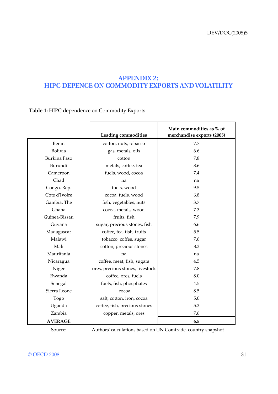## **APPENDIX 2: HIPC DEPENCE ON COMMODITY EXPORTS AND VOLATILITY**

**Table 1:** HIPC dependence on Commodity Exports

|                |                                  | Main commodities as % of   |
|----------------|----------------------------------|----------------------------|
|                | Leading commodities              | merchandise exports (2005) |
| Benin          | cotton, nuts, tobacco            | 7.7                        |
| <b>Bolivia</b> | gas, metals, oils                | 6.6                        |
| Burkina Faso   | cotton                           | 7.8                        |
| Burundi        | metals, coffee, tea              | 8.6                        |
| Cameroon       | fuels, wood, cocoa               | 7.4                        |
| Chad           | na                               | na                         |
| Congo, Rep.    | fuels, wood                      | 9.5                        |
| Cote d'Ivoire  | cocoa, fuels, wood               | 6.8                        |
| Gambia, The    | fish, vegetables, nuts           | 3.7                        |
| Ghana          | cocoa, metals, wood              | 7.3                        |
| Guinea-Bissau  | fruits, fish                     | 7.9                        |
| Guyana         | sugar, precious stones, fish     | 6.6                        |
| Madagascar     | coffee, tea, fish, fruits        | 5.5                        |
| Malawi         | tobacco, coffee, sugar           | 7.6                        |
| Mali           | cotton, precious stones          | 8.3                        |
| Mauritania     | na                               | na                         |
| Nicaragua      | coffee, meat, fish, sugars       | 4.5                        |
| Niger          | ores, precious stones, livestock | 7.8                        |
| Rwanda         | coffee, ores, fuels              | 8.0                        |
| Senegal        | fuels, fish, phosphates          | 4.5                        |
| Sierra Leone   | cocoa                            | 8.5                        |
| Togo           | salt, cotton, iron, cocoa        | 5.0                        |
| Uganda         | coffee, fish, precious stones    | 5.3                        |
| Zambia         | copper, metals, ores             | 7.6                        |
| <b>AVERAGE</b> |                                  | 6.5                        |

Source: Authors' calculations based on UN Comtrade, country snapshot

#### © OECD 2008 31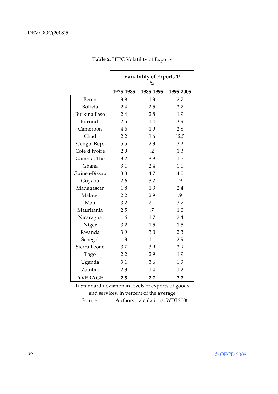|                     | Variability of Exports 1/<br>$\frac{0}{0}$ |            |           |
|---------------------|--------------------------------------------|------------|-----------|
|                     | 1975-1985                                  | 1985-1995  | 1995-2005 |
| Benin               | 3.8                                        | 1.3        | 2.7       |
| <b>Bolivia</b>      | 2.4                                        | 2.5        | 2.7       |
| <b>Burkina Faso</b> | 2.4                                        | 2.8        | 1.9       |
| Burundi             | 2.5                                        | 1.4        | 3.9       |
| Cameroon            | 4.6                                        | 1.9        | 2.8       |
| Chad                | 2.2                                        | 1.6        | 12.5      |
| Congo, Rep.         | 5.5                                        | 2.3        | 3.2       |
| Cote d'Ivoire       | 2.9                                        | $\cdot$ .2 | 1.3       |
| Gambia, The         | 3.2                                        | 3.9        | 1.5       |
| Ghana               | 3.1                                        | 2.4        | 1.1       |
| Guinea-Bissau       | 3.8                                        | 4.7        | 4.0       |
| Guyana              | 2.6                                        | 3.2        | .9        |
| Madagascar          | 1.8                                        | 1.3        | 2.4       |
| Malawi              | 2.2                                        | 2.9        | .9        |
| Mali                | 3.2                                        | 2.1        | 3.7       |
| Mauritania          | 2.5                                        | .7         | 1.0       |
| Nicaragua           | 1.6                                        | 1.7        | 2.4       |
| Niger               | 3.2                                        | 1.5        | 1.5       |
| Rwanda              | 3.9                                        | 3.0        | 2.3       |
| Senegal             | 1.3                                        | 1.1        | 2.9       |
| Sierra Leone        | 3.7                                        | 3.9        | 2.9       |
| Togo                | 2.2                                        | 2.9        | 1.9       |
| Uganda              | 3.1                                        | 3.6        | 1.9       |
| Zambia              | 2.3                                        | 1.4        | 1.2       |
| <b>AVERAGE</b>      | 2.5                                        | 2.7        | 2.7       |

**Table 2:** HIPC Volatility of Exports

1/ Standard deviation in levels of exports of goods and services, in percent of the average Source: Authors' calculations, WDI 2006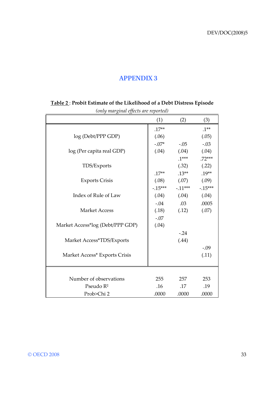## **APPENDIX 3**

| $(0.00)$ $\ldots$ $\delta$ <sup>1</sup> $\ldots$ $\ldots$ $\delta$ $\ldots$ $\ldots$ $\ldots$ $\ldots$ $\ldots$ $\ldots$ $\ldots$ $\ldots$ $\ldots$ $\ldots$ $\ldots$ $\ldots$ $\ldots$ $\ldots$ $\ldots$ $\ldots$ $\ldots$ $\ldots$ $\ldots$ $\ldots$ $\ldots$ $\ldots$ $\ldots$ $\ldots$ $\ldots$ $\ldots$ $\ldots$ $\ldots$ $\ldots$ $\ldots$ | (1)       | (2)             | (3)       |
|--------------------------------------------------------------------------------------------------------------------------------------------------------------------------------------------------------------------------------------------------------------------------------------------------------------------------------------------------|-----------|-----------------|-----------|
|                                                                                                                                                                                                                                                                                                                                                  | $.17**$   |                 | $.1***$   |
| log (Debt/PPP GDP)                                                                                                                                                                                                                                                                                                                               | (.06)     |                 | (.05)     |
|                                                                                                                                                                                                                                                                                                                                                  | $-.07*$   | $-.05$          | $-.03$    |
| log (Per capita real GDP)                                                                                                                                                                                                                                                                                                                        | (.04)     | (.04)           | (.04)     |
|                                                                                                                                                                                                                                                                                                                                                  |           | $.1***$         | $.72***$  |
| TDS/Exports                                                                                                                                                                                                                                                                                                                                      |           | (.32)           | (.22)     |
|                                                                                                                                                                                                                                                                                                                                                  | $.17**$   | $.13***$        | $.19**$   |
| <b>Exports Crisis</b>                                                                                                                                                                                                                                                                                                                            | (.08)     | (.07)           | (.09)     |
|                                                                                                                                                                                                                                                                                                                                                  | $-.15***$ | $-11***$        | $-.15***$ |
| Index of Rule of Law                                                                                                                                                                                                                                                                                                                             |           | $(.04)$ $(.04)$ | (.04)     |
|                                                                                                                                                                                                                                                                                                                                                  | $-.04$    | .03             | .0005     |
| <b>Market Access</b>                                                                                                                                                                                                                                                                                                                             | (.18)     | (.12)           | (.07)     |
|                                                                                                                                                                                                                                                                                                                                                  | $-.07$    |                 |           |
| Market Access*log (Debt/PPP GDP)                                                                                                                                                                                                                                                                                                                 | (.04)     |                 |           |
|                                                                                                                                                                                                                                                                                                                                                  |           | $-.24$          |           |
| Market Access*TDS/Exports                                                                                                                                                                                                                                                                                                                        |           | (.44)           |           |
|                                                                                                                                                                                                                                                                                                                                                  |           |                 | $-.09$    |
| Market Access* Exports Crisis                                                                                                                                                                                                                                                                                                                    |           |                 | (.11)     |
|                                                                                                                                                                                                                                                                                                                                                  |           |                 |           |
|                                                                                                                                                                                                                                                                                                                                                  |           |                 |           |
| Number of observations                                                                                                                                                                                                                                                                                                                           | 255       | 257             | 253       |
| Pseudo R <sup>2</sup>                                                                                                                                                                                                                                                                                                                            | .16       | .17             | .19       |
| Prob>Chi 2                                                                                                                                                                                                                                                                                                                                       | .0000     | .0000           | .0000     |

### **Table 2** : **Probit Estimate of the Likelihood of a Debt Distress Episode**  *(only marginal effects are reported)*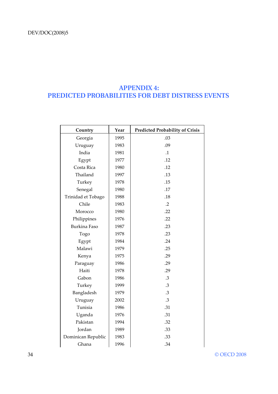## **APPENDIX 4: PREDICTED PROBABILITIES FOR DEBT DISTRESS EVENTS**

| Country             | Year | <b>Predicted Probability of Crisis</b> |
|---------------------|------|----------------------------------------|
| Georgia             | 1995 | .03                                    |
| Uruguay             | 1983 | .09                                    |
| India               | 1981 | $\cdot$ 1                              |
| Egypt               | 1977 | .12                                    |
| Costa Rica          | 1980 | .12                                    |
| Thailand            | 1997 | .13                                    |
| Turkey              | 1978 | .15                                    |
| Senegal             | 1980 | .17                                    |
| Trinidad et Tobago  | 1988 | .18                                    |
| Chile               | 1983 | $\cdot$ .2                             |
| Morocco             | 1980 | .22                                    |
| Philippines         | 1976 | .22                                    |
| <b>Burkina Faso</b> | 1987 | .23                                    |
| Togo                | 1978 | .23                                    |
| Egypt               | 1984 | .24                                    |
| Malawi              | 1979 | .25                                    |
| Kenya               | 1975 | .29                                    |
| Paraguay            | 1986 | .29                                    |
| Haiti               | 1978 | .29                                    |
| Gabon               | 1986 | .3                                     |
| Turkey              | 1999 | .3                                     |
| Bangladesh          | 1979 | .3                                     |
| Uruguay             | 2002 | .3                                     |
| Tunisia             | 1986 | .31                                    |
| Uganda              | 1976 | .31                                    |
| Pakistan            | 1994 | .32                                    |
| Jordan              | 1989 | .33                                    |
| Dominican Republic  | 1983 | .33                                    |
| Ghana               | 1996 | .34                                    |

34 © OECD 2008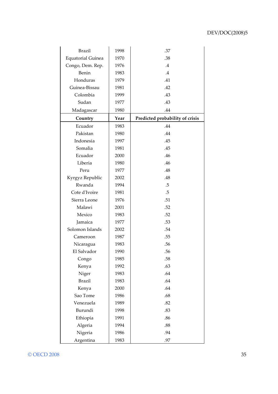| <b>Brazil</b>            | 1998 | .37                             |
|--------------------------|------|---------------------------------|
| <b>Equatorial Guinea</b> | 1970 | .38                             |
| Congo, Dem. Rep.         | 1976 | $.4\,$                          |
| Benin                    | 1983 | $.4\,$                          |
| Honduras                 | 1979 | .41                             |
| Guinea-Bissau            | 1981 | .42                             |
| Colombia                 | 1999 | .43                             |
| Sudan                    | 1977 | .43                             |
| Madagascar               | 1980 | .44                             |
| Country                  | Year | Predicted probability of crisis |
| Ecuador                  | 1983 | .44                             |
| Pakistan                 | 1980 | .44                             |
| Indonesia                | 1997 | .45                             |
| Somalia                  | 1981 | .45                             |
| Ecuador                  | 2000 | .46                             |
| Liberia                  | 1980 | .46                             |
| Peru                     | 1977 | .48                             |
| Kyrgyz Republic          | 2002 | .48                             |
| Rwanda                   | 1994 | .5                              |
| Cote d'Ivoire            | 1981 | .5                              |
| Sierra Leone             | 1976 | .51                             |
| Malawi                   | 2001 | .52                             |
| Mexico                   | 1983 | .52                             |
| Jamaica                  | 1977 | .53                             |
| Solomon Islands          | 2002 | .54                             |
| Cameroon                 | 1987 | .55                             |
| Nicaragua                | 1983 | .56                             |
| El Salvador              | 1990 | .56                             |
| Congo                    | 1985 | .58                             |
| Kenya                    | 1992 | .63                             |
| Niger                    | 1983 | .64                             |
| <b>Brazil</b>            | 1983 | .64                             |
| Kenya                    | 2000 | .64                             |
| Sao Tome                 | 1986 | .68                             |
| Venezuela                | 1989 | .82                             |
| Burundi                  | 1998 | .83                             |
| Ethiopia                 | 1991 | .86                             |
| Algeria                  | 1994 | .88                             |
| Nigeria                  | 1986 | .94                             |
| Argentina                | 1983 | .97                             |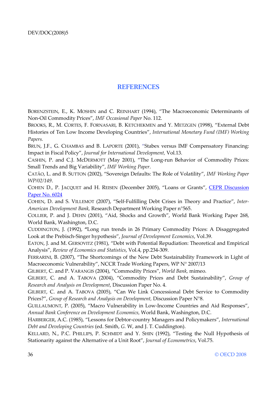## **REFERENCES**

BORENZSTEIN, E., K. MOSHIN and C. REINHART (1994), "The Macroeconomic Determinants of Non-Oil Commodity Prices", *IMF Occasional Paper* No. 112.

BROOKS, R., M. CORTES, F. FORNASARI, B. KETCHEKMEN and Y. METZGEN (1998), "External Debt Histories of Ten Low Income Developing Countries", *International Monetary Fund (IMF) Working Papers.*

BRUN, J.F., G. CHAMBAS and B. LAPORTE (2001), "Stabex versus IMF Compensatory Financing: Impact in Fiscal Policy", *Journal for International Development,* Vol.13.

CASHIN, P. and C.J. McDERMOTT (May 2001), "The Long-run Behavior of Commodity Prices: Small Trends and Big Variability", *IMF Working Paper*.

CATÃO, L. and B. SUTTON (2002), "Sovereign Defaults: The Role of Volatility", *IMF Working Paper WP/02/149*.

COHEN D., P. JACQUET and H. REISEN (December 2005), "Loans or Grants", CEPR Discussion Paper No. 6024

COHEN, D. and S. VILLEMOT (2007), "Self-Fulfilling Debt Crises in Theory and Practice", *Inter-American Development Bank,* Research Department Working Paper n°565.

COLLIER, P. and J. DEHN (2001), "Aid, Shocks and Growth", World Bank Working Paper 268, World Bank, Washington, D.C.

CUDDINGTON, J. (1992), **"**Long run trends in 26 Primary Commodity Prices: A Disaggregated Look at the Prebisch-Singer hypothesis", *Journal of Development Economics*, Vol.39.

EATON, J. and M. GERSOVITZ (1981), "Debt with Potential Repudiation: Theoretical and Empirical Analysis", *Review of Economics and Statistics*, Vol.4, pp.234-309.

FERRARINI, B. (2007), "The Shortcomings of the New Debt Sustainability Framework in Light of Macroeconomic Vulnerability", NCCR Trade Working Papers, WP N° 2007/13

GILBERT, C. and P. VARANGIS (2004), "Commodity Prices", *World Bank,* mimeo.

GILBERT, C. and A. TABOVA (2004), "Commodity Prices and Debt Sustainability", *Group of Research and Analysis on Development*, Discussion Paper No. 4.

GILBERT, C. and A. TABOVA (2005), "Can We Link Concessional Debt Service to Commodity Prices?", Group of Research and Analysis on Development, Discussion Paper N°8.

GUILLAUMONT, P. (2005), "Macro Vulnerability in Low-Income Countries and Aid Responses", *Annual Bank Conference on Development Economics,* World Bank, Washington, D.C.

HARBERGER, A.C. (1985), "Lessons for Debtor-country Managers and Policymakers", *International Debt and Developing Countries* (ed. Smith, *G.* W, and J. T. Cuddington).

KELLARD, N., P.C. PHILLIPS, P. SCHMIDT and Y. SHIN (1992), "Testing the Null Hypothesis of Stationarity against the Alternative of a Unit Root", *Journal of Econometrics*, Vol.75.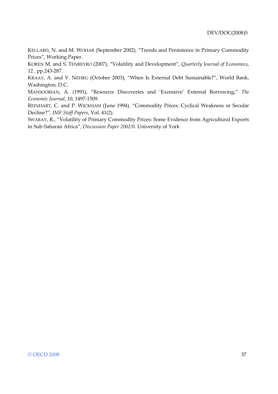KELLARD, N. and M. WOHAR (September 2002), "Trends and Persistence in Primary Commodity Prices", Working Paper.

KOREN M. and S. TENREYRO (2007), "Volatility and Development", *Quarterly Journal of Economics*, 12 . pp.243-287.

KRAAY, A. and V. NEHRU (October 2003), "When Is External Debt Sustainable?", World Bank, Washington, D.C.

MANSOORIAN, A. (1991), "Resource Discoveries and 'Excessive' External Borrowing," *The Economic Journal,* 10, 1497-1509.

REINHART, C. and P. WICKHAM (June 1994), "Commodity Prices: Cyclical Weakness or Secular Decline?"*, IMF Staff Papers*, Vol. 41(2).

SWARAY, R., "Volatility of Primary Commodity Prices: Some Evidence from Agricultural Exports in Sub-Saharan Africa", *Discussion Paper 2002/0.* University of York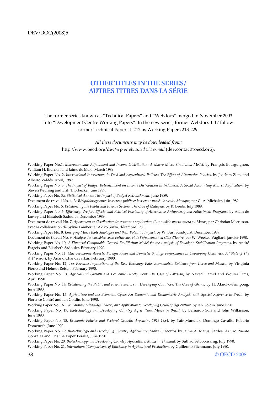### **OTHER TITLES IN THE SERIES/ AUTRES TITRES DANS LA SÉRIE**

The former series known as "Technical Papers" and "Webdocs" merged in November 2003 into "Development Centre Working Papers". In the new series, former Webdocs 1-17 follow former Technical Papers 1-212 as Working Papers 213-229.

*All these documents may be downloaded from:*

http://www.oecd.org/dev/wp *or obtained via e-mail* (dev.contact@oecd.org).

Working Paper No.1, *Macroeconomic Adjustment and Income Distribution: A Macro-Micro Simulation Model*, by François Bourguignon, William H. Branson and Jaime de Melo, March 1989.

Working Paper No. 2, *International Interactions in Food and Agricultural Policies: The Effect of Alternative Policies,* by Joachim Zietz and Alberto Valdés, April, 1989.

Working Paper No. 3, *The Impact of Budget Retrenchment on Income Distribution in Indonesia: A Social Accounting Matrix Application*, by Steven Keuning and Erik Thorbecke, June 1989.

Working Paper No. 3a, *Statistical Annex: The Impact of Budget Retrenchment,* June 1989.

Document de travail No. 4, *Le Rééquilibrage entre le secteur public et le secteur privé : le cas du Mexique*, par C.-A. Michalet, juin 1989.

Working Paper No. 5, *Rebalancing the Public and Private Sectors: The Case of Malaysia*, by R. Leeds, July 1989.

Working Paper No. 6, *Efficiency, Welfare Effects, and Political Feasibility of Alternative Antipoverty and Adjustment Programs, by Alain de* Janvry and Elisabeth Sadoulet, December 1989.

Document de travail No. 7, *Ajustement et distribution des revenus : application d'un modèle macro-micro au Maroc*, par Christian Morrisson, avec la collaboration de Sylvie Lambert et Akiko Suwa, décembre 1989.

Working Paper No. 8, *Emerging Maize Biotechnologies and their Potential Impact*, by W. Burt Sundquist, December 1989.

Document de travail No. 9, *Analyse des variables socio-culturelles et de l'ajustement en Côte d'Ivoire*, par W. Weekes-Vagliani, janvier 1990. Working Paper No. 10, *A Financial Computable General Equilibrium Model for the Analysis of Ecuador's Stabilization Programs*, by André Fargeix and Elisabeth Sadoulet, February 1990.

Working Paper No. 11, *Macroeconomic Aspects, Foreign Flows and Domestic Savings Performance in Developing Countries: A "State of The Art" Report*, by Anand Chandavarkar, February 1990.

Working Paper No. 12, *Tax Revenue Implications of the Real Exchange Rate: Econometric Evidence from Korea and Mexico,* by Viriginia Fierro and Helmut Reisen, February 1990.

Working Paper No. 13, *Agricultural Growth and Economic Development: The Case of Pakistan*, by Naved Hamid and Wouter Tims, April 1990.

Working Paper No. 14, *Rebalancing the Public and Private Sectors in Developing Countries: The Case of Ghana,* by H. Akuoko-Frimpong, June 1990.

Working Paper No. 15, *Agriculture and the Economic Cycle: An Economic and Econometric Analysis with Special Reference to Brazil,* by Florence Contré and Ian Goldin, June 1990.

Working Paper No. 16, Comparative Advantage: Theory and Application to Developing Country Agriculture, by Ian Goldin, June 1990.

Working Paper No. 17, *Biotechnology and Developing Country Agriculture: Maize in Brazil,* by Bernardo Sorj and John Wilkinson, June 1990.

Working Paper No. 18, *Economic Policies and Sectoral Growth: Argentina 1913-1984,* by Yair Mundlak, Domingo Cavallo, Roberto Domenech, June 1990.

Working Paper No. 19, *Biotechnology and Developing Country Agriculture: Maize In Mexico,* by Jaime A. Matus Gardea, Arturo Puente Gonzalez and Cristina Lopez Peralta, June 1990.

Working Paper No. 20, *Biotechnology and Developing Country Agriculture: Maize in Thailand*, by Suthad Setboonsarng, July 1990. Working Paper No. 21, *International Comparisons of Efficiency in Agricultural Production*, by Guillermo Flichmann, July 1990.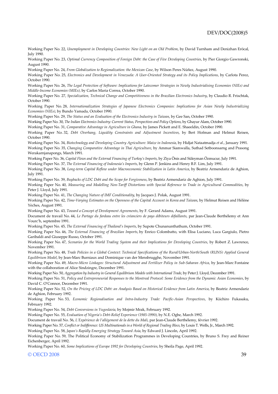Working Paper No. 22, *Unemployment in Developing Countries: New Light on an Old Problem*, by David Turnham and Denizhan Eröcal, July 1990.

Working Paper No. 23, *Optimal Currency Composition of Foreign Debt: the Case of Five Developing Countries*, by Pier Giorgio Gawronski, August 1990.

Working Paper No. 24, *From Globalization to Regionalization: the Mexican Case*, by Wilson Peres Núñez, August 1990.

Working Paper No. 25, *Electronics and Development in Venezuela: A User-Oriented Strategy and its Policy Implications*, by Carlota Perez, October 1990.

Working Paper No. 26, *The Legal Protection of Software: Implications for Latecomer Strategies in Newly Industrialising Economies (NIEs) and Middle-Income Economies (MIEs)*, by Carlos Maria Correa, October 1990.

Working Paper No. 27, *Specialization, Technical Change and Competitiveness in the Brazilian Electronics Industry*, by Claudio R. Frischtak, October 1990.

Working Paper No. 28, *Internationalization Strategies of Japanese Electronics Companies: Implications for Asian Newly Industrializing Economies (NIEs)*, by Bundo Yamada, October 1990.

Working Paper No. 29, *The Status and an Evaluation of the Electronics Industry in Taiwan*, by Gee San, October 1990.

Working Paper No. 30, *The Indian Electronics Industry: Current Status, Perspectives and Policy Options*, by Ghayur Alam, October 1990.

Working Paper No. 31, *Comparative Advantage in Agriculture in Ghana*, by James Pickett and E. Shaeeldin, October 1990.

Working Paper No. 32, *Debt Overhang, Liquidity Constraints and Adjustment Incentives*, by Bert Hofman and Helmut Reisen, October 1990.

Working Paper No. 34, *Biotechnology and Developing Country Agriculture: Maize in Indonesia*, by Hidjat Nataatmadja *et al.*, January 1991. Working Paper No. 35, *Changing Comparative Advantage in Thai Agriculture*, by Ammar Siamwalla, Suthad Setboonsarng and Prasong Werakarnjanapongs, March 1991.

Working Paper No. 36, *Capital Flows and the External Financing of Turkey's Imports*, by Ziya Önis and Süleyman Özmucur, July 1991.

Working Paper No. 37, *The External Financing of Indonesia's Imports*, by Glenn P. Jenkins and Henry B.F. Lim, July 1991.

Working Paper No. 38, *Long-term Capital Reflow under Macroeconomic Stabilization in Latin America*, by Beatriz Armendariz de Aghion, July 1991.

Working Paper No. 39, *Buybacks of LDC Debt and the Scope for Forgiveness*, by Beatriz Armendariz de Aghion, July 1991.

Working Paper No. 40, *Measuring and Modelling Non-Tariff Distortions with Special Reference to Trade in Agricultural Commodities*, by Peter J. Lloyd, July 1991.

Working Paper No. 41, *The Changing Nature of IMF Conditionality*, by Jacques J. Polak, August 1991.

Working Paper No. 42, *Time-Varying Estimates on the Openness of the Capital Account in Korea and Taiwan*, by Helmut Reisen and Hélène Yèches, August 1991.

Working Paper No. 43, *Toward a Concept of Development Agreements*, by F. Gerard Adams, August 1991.

Document de travail No. 44, *Le Partage du fardeau entre les créanciers de pays débiteurs défaillants*, par Jean-Claude Berthélemy et Ann Vourc'h, septembre 1991.

Working Paper No. 45, *The External Financing of Thailand's Imports*, by Supote Chunanunthathum, October 1991.

Working Paper No. 46, *The External Financing of Brazilian Imports*, by Enrico Colombatto, with Elisa Luciano, Luca Gargiulo, Pietro Garibaldi and Giuseppe Russo, October 1991.

Working Paper No. 47, *Scenarios for the World Trading System and their Implications for Developing Countries*, by Robert Z. Lawrence, November 1991.

Working Paper No. 48, *Trade Policies in a Global Context: Technical Specifications of the Rural/Urban-North/South (RUNS) Applied General Equilibrium Model*, by Jean-Marc Burniaux and Dominique van der Mensbrugghe, November 1991.

Working Paper No. 49, *Macro-Micro Linkages: Structural Adjustment and Fertilizer Policy in Sub-Saharan Africa*, by Jean-Marc Fontaine with the collaboration of Alice Sindzingre, December 1991.

Working Paper No. 50, *Aggregation by Industry in General Equilibrium Models with International Trade*, by Peter J. Lloyd, December 1991.

Working Paper No. 51, *Policy and Entrepreneurial Responses to the Montreal Protocol: Some Evidence from the Dynamic Asian Economies*, by David C. O'Connor, December 1991.

Working Paper No. 52, *On the Pricing of LDC Debt: an Analysis Based on Historical Evidence from Latin America*, by Beatriz Armendariz de Aghion, February 1992.

Working Paper No. 53, *Economic Regionalisation and Intra-Industry Trade: Pacific-Asian Perspectives*, by Kiichiro Fukasaku, February 1992.

Working Paper No. 54, *Debt Conversions in Yugoslavia,* by Mojmir Mrak, February 1992.

Working Paper No. 55, *Evaluation of Nigeria's Debt-Relief Experience (1985-1990)*, by N.E. Ogbe, March 1992.

Document de travail No. 56, *L'Expérience de l'allégement de la dette du Mali*, par Jean-Claude Berthélemy, février 1992.

Working Paper No. 57, *Conflict or Indifference: US Multinationals in a World of Regional Trading Blocs*, by Louis T. Wells, Jr., March 1992.

Working Paper No. 58, *Japan's Rapidly Emerging Strategy Toward Asia*, by Edward J. Lincoln, April 1992.

Working Paper No. 59, The Political Economy of Stabilization Programmes in Developing Countries, by Bruno S. Frey and Reiner Eichenberger, April 1992.

Working Paper No. 60, *Some Implications of Europe 1992 for Developing Countries*, by Sheila Page, April 1992.

#### $\odot$  OECD 2008  $\odot$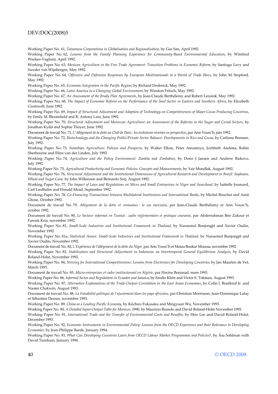#### DEV/DOC(2008)5

Working Paper No. 61, *Taiwanese Corporations in Globalisation and Regionalisation*, by Gee San, April 1992.

Working Paper No. 62, *Lessons from the Family Planning Experience for Community-Based Environmental Education*, by Winifred Weekes-Vagliani, April 1992.

Working Paper No. 63, *Mexican Agriculture in the Free Trade Agreement: Transition Problems in Economic Reform*, by Santiago Levy and Sweder van Wijnbergen, May 1992.

Working Paper No. 64, *Offensive and Defensive Responses by European Multinationals to a World of Trade Blocs*, by John M. Stopford, May 1992.

Working Paper No. 65, *Economic Integration in the Pacific Region*, by Richard Drobnick, May 1992.

Working Paper No. 66, *Latin America in a Changing Global Environment*, by Winston Fritsch, May 1992.

Working Paper No. 67, *An Assessment of the Brady Plan Agreements*, by Jean-Claude Berthélemy and Robert Lensink, May 1992.

Working Paper No. 68, *The Impact of Economic Reform on the Performance of the Seed Sector in Eastern and Southern Africa*, by Elizabeth Cromwell, June 1992.

Working Paper No. 69, *Impact of Structural Adjustment and Adoption of Technology on Competitiveness of Major Cocoa Producing Countries*, by Emily M. Bloomfield and R. Antony Lass, June 1992.

Working Paper No. 70, *Structural Adjustment and Moroccan Agriculture: an Assessment of the Reforms in the Sugar and Cereal Sectors*, by Jonathan Kydd and Sophie Thoyer, June 1992.

Document de travail No. 71, *L'Allégement de la dette au Club de Paris : les évolutions récentes en perspective*, par Ann Vourc'h, juin 1992.

Working Paper No. 72, *Biotechnology and the Changing Public/Private Sector Balance: Developments in Rice and Cocoa,* by Carliene Brenner, July 1992.

Working Paper No. 73, *Namibian Agriculture: Policies and Prospects*, by Walter Elkan, Peter Amutenya, Jochbeth Andima, Robin Sherbourne and Eline van der Linden, July 1992.

Working Paper No. 74, *Agriculture and the Policy Environment: Zambia and Zimbabwe*, by Doris J. Jansen and Andrew Rukovo, July 1992.

Working Paper No. 75, *Agricultural Productivity and Economic Policies: Concepts and Measurements*, by Yair Mundlak, August 1992.

Working Paper No. 76, *Structural Adjustment and the Institutional Dimensions of Agricultural Research and Development in Brazil: Soybeans, Wheat and Sugar Cane,* by John Wilkinson and Bernardo Sorj, August 1992.

Working Paper No. 77, *The Impact of Laws and Regulations on Micro and Small Enterprises in Niger and Swaziland*, by Isabelle Joumard, Carl Liedholm and Donald Mead, September 1992.

Working Paper No. 78, *Co-Financing Transactions between Multilateral Institutions and International Banks*, by Michel Bouchet and Amit Ghose, October 1992.

Document de travail No. 79, *Allégement de la dette et croissance : le cas mexicain*, par Jean-Claude Berthélemy et Ann Vourc'h, octobre 1992.

Document de travail No. 80, *Le Secteur informel en Tunisie : cadre réglementaire et pratique courante*, par Abderrahman Ben Zakour et Farouk Kria, novembre 1992.

Working Paper No. 81, *Small-Scale Industries and Institutional Framework in Thailand,* by Naruemol Bunjongjit and Xavier Oudin, November 1992.

Working Paper No. 81a, *Statistical Annex: Small-Scale Industries and Institutional Framework in Thailand,* by Naruemol Bunjongjit and Xavier Oudin, November 1992.

Document de travail No. 82, *L'Expérience de l'allégement de la dette du Niger,* par Ann Vourc'h et Maina Boukar Moussa*,* novembre 1992.

Working Paper No. 83, *Stabilization and Structural Adjustment in Indonesia: an Intertemporal General Equilibrium Analysis*, by David Roland-Holst, November 1992.

Working Paper No. 84, *Striving for International Competitiveness: Lessons from Electronics for Developing Countries*, by Jan Maarten de Vet, March 1993.

Document de travail No. 85, *Micro-entreprises et cadre institutionnel en Algérie,* par Hocine Benissad, mars 1993.

Working Paper No. 86, *Informal Sector and Regulations in Ecuador and Jamaica*, by Emilio Klein and Victor E. Tokman, August 1993. Working Paper No. 87, *Alternative Explanations of the Trade-Output Correlation in the East Asian Economies*, by Colin I. Bradford Jr. and

Naomi Chakwin, August 1993. Document de travail No. 88, *La Faisabilité politique de l'ajustement dans les pays africains,* par Christian Morrisson, Jean-Dominique Lafay et Sébastien Dessus, novembre 1993.

Working Paper No. 89, *China as a Leading Pacific Economy*, by Kiichiro Fukasaku and Mingyuan Wu, November 1993.

Working Paper No. 90, *A Detailed Input-Output Table for Morocco*, 1990, by Maurizio Bussolo and David Roland-Holst November 1993.

Working Paper No. 91, *International Trade and the Transfer of Environmental Costs and Benefits*, by Hiro Lee and David Roland-Holst, December 1993.

Working Paper No. 92, *Economic Instruments in Environmental Policy: Lessons from the OECD Experience and their Relevance to Developing Economies*, by Jean-Philippe Barde, January 1994.

Working Paper No. 93, *What Can Developing Countries Learn from OECD Labour Market Programmes and Policies*?, by Åsa Sohlman with David Turnham, January 1994.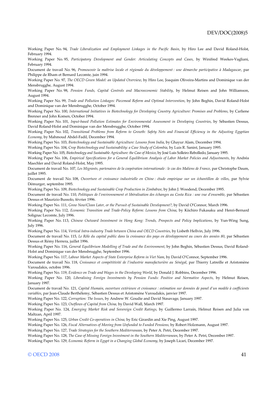Working Paper No. 94, *Trade Liberalization and Employment Linkages in the Pacific Basin*, by Hiro Lee and David Roland-Holst, February 1994.

Working Paper No. 95, *Participatory Development and Gender: Articulating Concepts and Cases*, by Winifred Weekes-Vagliani, February 1994.

Document de travail No. 96, *Promouvoir la maîtrise locale et régionale du développement : une démarche participative à Madagascar*, par Philippe de Rham et Bernard Lecomte, juin 1994.

Working Paper No. 97, *The OECD Green Model: an Updated Overview*, by Hiro Lee, Joaquim Oliveira-Martins and Dominique van der Mensbrugghe, August 1994.

Working Paper No. 98, *Pension Funds, Capital Controls and Macroeconomic Stability*, by Helmut Reisen and John Williamson, August 1994.

Working Paper No. 99, *Trade and Pollution Linkages: Piecemeal Reform and Optimal Intervention*, by John Beghin, David Roland-Holst and Dominique van der Mensbrugghe, October 1994.

Working Paper No. 100, *International Initiatives in Biotechnology for Developing Country Agriculture: Promises and Problems*, by Carliene Brenner and John Komen, October 1994.

Working Paper No. 101, *Input-based Pollution Estimates for Environmental Assessment in Developing Countries*, by Sébastien Dessus, David Roland-Holst and Dominique van der Mensbrugghe, October 1994.

Working Paper No. 102, *Transitional Problems from Reform to Growth: Safety Nets and Financial Efficiency in the Adjusting Egyptian Economy*, by Mahmoud Abdel-Fadil, December 1994.

Working Paper No. 103, *Biotechnology and Sustainable Agriculture: Lessons from India*, by Ghayur Alam, December 1994.

Working Paper No. 104, *Crop Biotechnology and Sustainability: a Case Study of Colombia*, by Luis R. Sanint, January 1995.

Working Paper No. 105, *Biotechnology and Sustainable Agriculture: the Case of Mexico*, by José Luis Solleiro Rebolledo, January 1995.

Working Paper No. 106, *Empirical Specifications for a General Equilibrium Analysis of Labor Market Policies and Adjustments*, by Andréa Maechler and David Roland-Holst, May 1995.

Document de travail No. 107, *Les Migrants, partenaires de la coopération internationale : le cas des Maliens de France*, par Christophe Daum, juillet 1995.

Document de travail No. 108, *Ouverture et croissance industrielle en Chine : étude empirique sur un échantillon de villes*, par Sylvie Démurger, septembre 1995.

Working Paper No. 109, *Biotechnology and Sustainable Crop Production in Zimbabwe*, by John J. Woodend, December 1995.

Document de travail No. 110, *Politiques de l'environnement et libéralisation des échanges au Costa Rica : une vue d'ensemble*, par Sébastien Dessus et Maurizio Bussolo, février 1996.

Working Paper No. 111, *Grow Now/Clean Later, or the Pursuit of Sustainable Development?*, by David O'Connor, March 1996.

Working Paper No. 112, *Economic Transition and Trade-Policy Reform: Lessons from China*, by Kiichiro Fukasaku and Henri-Bernard Solignac Lecomte, July 1996.

Working Paper No. 113, *Chinese Outward Investment in Hong Kong: Trends, Prospects and Policy Implications*, by Yun-Wing Sung, July 1996.

Working Paper No. 114, *Vertical Intra-industry Trade between China and OECD Countries*, by Lisbeth Hellvin, July 1996.

Document de travail No. 115, *Le Rôle du capital public dans la croissance des pays en développement au cours des années 80*, par Sébastien Dessus et Rémy Herrera, juillet 1996.

Working Paper No. 116, *General Equilibrium Modelling of Trade and the Environment*, by John Beghin, Sébastien Dessus, David Roland-Holst and Dominique van der Mensbrugghe, September 1996.

Working Paper No. 117, *Labour Market Aspects of State Enterprise Reform in Viet Nam*, by David O'Connor, September 1996.

Document de travail No. 118, *Croissance et compétitivité de l'industrie manufacturière au Sénégal*, par Thierry Latreille et Aristomène Varoudakis, octobre 1996.

Working Paper No. 119, *Evidence on Trade and Wages in the Developing World*, by Donald J. Robbins, December 1996.

Working Paper No. 120, *Liberalising Foreign Investments by Pension Funds: Positive and Normative Aspects*, by Helmut Reisen, January 1997.

Document de travail No. 121, *Capital Humain, ouverture extérieure et croissance : estimation sur données de panel d'un modèle à coefficients variables*, par Jean-Claude Berthélemy, Sébastien Dessus et Aristomène Varoudakis, janvier 1997.

Working Paper No. 122, *Corruption: The Issues*, by Andrew W. Goudie and David Stasavage, January 1997.

Working Paper No. 123, *Outflows of Capital from China,* by David Wall, March 1997.

Working Paper No. 124, *Emerging Market Risk and Sovereign Credit Ratings,* by Guillermo Larraín, Helmut Reisen and Julia von Maltzan, April 1997.

Working Paper No. 125, *Urban Credit Co-operatives in China,* by Eric Girardin and Xie Ping, August 1997.

Working Paper No. 126, *Fiscal Alternatives of Moving from Unfunded to Funded Pensions,* by Robert Holzmann, August 1997.

Working Paper No. 127, *Trade Strategies for the Southern Mediterranean*, by Peter A. Petri, December 1997.

Working Paper No. 128, *The Case of Missing Foreign Investment in the Southern Mediterranean*, by Peter A. Petri, December 1997.

Working Paper No. 129, *Economic Reform in Egypt in a Changing Global Economy*, by Joseph Licari, December 1997.

#### $\odot$  OECD 2008 41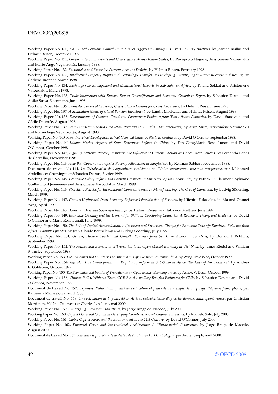#### DEV/DOC(2008)5

Working Paper No. 130, *Do Funded Pensions Contribute to Higher Aggregate Savings? A Cross-Country Analysis*, by Jeanine Bailliu and Helmut Reisen, December 1997.

Working Paper No. 131, *Long-run Growth Trends and Convergence Across Indian States,* by Rayaprolu Nagaraj, Aristomène Varoudakis and Marie-Ange Véganzonès, January 1998.

Working Paper No. 132, *Sustainable and Excessive Current Account Deficits,* by Helmut Reisen, February 1998.

Working Paper No. 133, *Intellectual Property Rights and Technology Transfer in Developing Country Agriculture: Rhetoric and Reality,* by Carliene Brenner, March 1998.

Working Paper No. 134, *Exchange-rate Management and Manufactured Exports in Sub-Saharan Africa,* by Khalid Sekkat and Aristomène Varoudakis, March 1998.

Working Paper No. 135, *Trade Integration with Europe, Export Diversification and Economic Growth in Egypt,* by Sébastien Dessus and Akiko Suwa-Eisenmann, June 1998.

Working Paper No. 136, *Domestic Causes of Currency Crises: Policy Lessons for Crisis Avoidance,* by Helmut Reisen, June 1998.

Working Paper No. 137, *A Simulation Model of Global Pension Investment,* by Landis MacKellar and Helmut Reisen, August 1998.

Working Paper No. 138, Determinants of Customs Fraud and Corruption: Evidence from Two African Countries, by David Stasavage and Cécile Daubrée, August 1998.

Working Paper No. 139, *State Infrastructure and Productive Performance in Indian Manufacturing,* by Arup Mitra, Aristomène Varoudakis and Marie-Ange Véganzonès, August 1998.

Working Paper No. 140, Rural Industrial Development in Viet Nam and China: A Study in Contrasts, by David O'Connor, September 1998.

Working Paper No. 141,*Labour Market Aspects of State Enterprise Reform in China,* by Fan Gang,Maria Rosa Lunati and David O'Connor, October 1998.

Working Paper No. 142, *Fighting Extreme Poverty in Brazil: The Influence of Citizens' Action on Government Policies*, by Fernanda Lopes de Carvalho, November 1998.

Working Paper No. 143, *How Bad Governance Impedes Poverty Alleviation in Bangladesh,* by Rehman Sobhan, November 1998.

Document de travail No. 144, *La libéralisation de l'agriculture tunisienne et l'Union européenne: une vue prospective*, par Mohamed Abdelbasset Chemingui et Sébastien Dessus, février 1999.

Working Paper No. 145, *Economic Policy Reform and Growth Prospects in Emerging African Economies,* by Patrick Guillaumont, Sylviane Guillaumont Jeanneney and Aristomène Varoudakis, March 1999.

Working Paper No. 146, *Structural Policies for International Competitiveness in Manufacturing: The Case of Cameroon*, by Ludvig Söderling, March 1999.

Working Paper No. 147, *China's Unfinished Open-Economy Reforms: Liberalisation of Services*, by Kiichiro Fukasaku, Yu Ma and Qiumei Yang, April 1999.

Working Paper No. 148**,** *Boom and Bust and Sovereign Ratings*, by Helmut Reisen and Julia von Maltzan, June 1999.

Working Paper No. 149, *Economic Opening and the Demand for Skills in Developing Countries: A Review of Theory and Evidence*, by David O'Connor and Maria Rosa Lunati, June 1999.

Working Paper No. 150, *The Role of Capital Accumulation, Adjustment and Structural Change for Economic Take-off: Empirical Evidence from African Growth Episodes,* by Jean-Claude Berthélemy and Ludvig Söderling, July 1999.

Working Paper No. 151, *Gender, Human Capital and Growth: Evidence from Six Latin American Countries,* by Donald J. Robbins, September 1999.

Working Paper No. 152, *The Politics and Economics of Transition to an Open Market Economy in Viet Nam,* by James Riedel and William S. Turley, September 1999.

Working Paper No. 153, *The Economics and Politics of Transition to an Open Market Economy: China, by Wing Thye Woo, October 1999*.

Working Paper No. 154, *Infrastructure Development and Regulatory Reform in Sub-Saharan Africa: The Case of Air Transport,* by Andrea E. Goldstein, October 1999.

Working Paper No. 155, *The Economics and Politics of Transition to an Open Market Economy: India,* by Ashok V. Desai, October 1999.

Working Paper No. 156, *Climate Policy Without Tears: CGE-Based Ancillary Benefits Estimates for Chile,* by Sébastien Dessus and David O'Connor, November 1999.

Document de travail No. 157, *Dépenses d'éducation, qualité de l'éducation et pauvreté : l'exemple de cinq pays d'Afrique francophone*, par Katharina Michaelowa, avril 2000.

Document de travail No. 158, *Une estimation de la pauvreté en Afrique subsaharienne d'après les données anthropométriques*, par Christian Morrisson, Hélène Guilmeau et Charles Linskens, mai 2000.

Working Paper No. 159, *Converging European Transitions,* by Jorge Braga de Macedo, July 2000.

Working Paper No. 160, *Capital Flows and Growth in Developing Countries: Recent Empirical Evidence,* by Marcelo Soto, July 2000.

Working Paper No. 161, *Global Capital Flows and the Environment in the 21st Century,* by David O'Connor, July 2000.

Working Paper No. 162, *Financial Crises and International Architecture: A "Eurocentric" Perspective,* by Jorge Braga de Macedo, August 2000.

Document de travail No. 163, *Résoudre le problème de la dette : de l'initiative PPTE à Cologne*, par Anne Joseph, août 2000.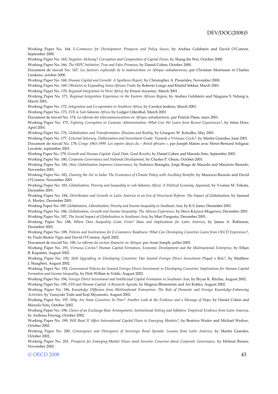Working Paper No. 164, *E-Commerce for Development: Prospects and Policy Issues,* by Andrea Goldstein and David O'Connor, September 2000.

Working Paper No. 165, *Negative Alchemy? Corruption and Composition of Capital Flows*, by Shang-Jin Wei, October 2000.

Working Paper No. 166, *The HIPC Initiative: True and False Promises*, by Daniel Cohen, October 2000.

Document de travail No. 167*, Les facteurs explicatifs de la malnutrition en Afrique subsaharienne*, par Christian Morrisson et Charles Linskens, octobre 2000.

Working Paper No. 168, *Human Capital and Growth: A Synthesis Report*, by Christopher A. Pissarides, November 2000.

Working Paper No. 169, *Obstacles to Expanding Intra-African Trade*, by Roberto Longo and Khalid Sekkat, March 2001.

Working Paper No. 170, *Regional Integration In West Africa*, by Ernest Aryeetey, March 2001.

Working Paper No. 171, *Regional Integration Experience in the Eastern African Region*, by Andrea Goldstein and Njuguna S. Ndung'u, March 2001.

Working Paper No. 172, *Integration and Co-operation in Southern Africa*, by Carolyn Jenkins, March 2001.

Working Paper No. 173, *FDI in Sub-Saharan Africa*, by Ludger Odenthal, March 2001

Document de travail No. 174, *La réforme des télécommunications en Afrique subsaharienne*, par Patrick Plane, mars 2001.

Working Paper No. 175, *Fighting Corruption in Customs Administration: What Can We Learn from Recent Experiences?*, by Irène Hors; April 2001.

Working Paper No. 176, *Globalisation and Transformation: Illusions and Reality*, by Grzegorz W. Kolodko, May 2001.

Working Paper No. 177, *External Solvency, Dollarisation and Investment Grade: Towards a Virtuous Circle?,* by Martin Grandes, June 2001. Document de travail No. 178, *Congo 1965-1999: Les espoirs déçus du « Brésil africain* », par Joseph Maton avec Henri-Bernard Solignac Lecomte, septembre 2001.

Working Paper No. 179, *Growth and Human Capital: Good Data, Good Results*, by Daniel Cohen and Marcelo Soto, September 2001.

Working Paper No. 180, *Corporate Governance and National Development,* by Charles P. Oman, October 2001.

Working Paper No. 181, *How Globalisation Improves Governance*, by Federico Bonaglia, Jorge Braga de Macedo and Maurizio Bussolo, November 2001.

Working Paper No. 182, Clearing the Air in India: The Economics of Climate Policy with Ancillary Benefits, by Maurizio Bussolo and David O'Connor, November 2001.

Working Paper No. 183, *Globalisation, Poverty and Inequality in sub-Saharan Africa: A Political Economy Appraisal*, by Yvonne M. Tsikata, December 2001.

Working Paper No. 184, *Distribution and Growth in Latin America in an Era of Structural Reform: The Impact of Globalisation*, by Samuel A. Morley, December 2001.

Working Paper No. 185*, Globalisation, Liberalisation, Poverty and Income Inequality in Southeast Asia,* by K.S. Jomo, December 2001.

Working Paper No. 186, *Globalisation, Growth and Income Inequality: The African Experience,* by Steve Kayizzi-Mugerwa, December 2001. Working Paper No. 187, *The Social Impact of Globalisation in Southeast Asia*, by Mari Pangestu, December 2001.

Working Paper No. 188, *Where Does Inequality Come From? Ideas and Implications for Latin America*, by James A. Robinson, December 2001.

Working Paper No. 189, *Policies and Institutions for E-Commerce Readiness: What Can Developing Countries Learn from OECD Experience?*, by Paulo Bastos Tigre and David O'Connor, April 2002.

Document de travail No. 190, *La réforme du secteur financier en Afrique,* par Anne Joseph, juillet 2002.

Working Paper No. 191, *Virtuous Circles? Human Capital Formation, Economic Development and the Multinational Enterprise*, by Ethan B. Kapstein, August 2002.

Working Paper No. 192, *Skill Upgrading in Developing Countries: Has Inward Foreign Direct Investment Played a Role?*, by Matthew J. Slaughter, August 2002.

Working Paper No. 193, *Government Policies for Inward Foreign Direct Investment in Developing Countries: Implications for Human Capital Formation and Income Inequality*, by Dirk Willem te Velde, August 2002.

Working Paper No. 194, *Foreign Direct Investment and Intellectual Capital Formation in Southeast Asia*, by Bryan K. Ritchie, August 2002. Working Paper No. 195, *FDI and Human Capital: A Research Agenda,* by Magnus Blomström and Ari Kokko, August 2002.

Working Paper No. 196, *Knowledge Diffusion from Multinational Enterprises: The Role of Domestic and Foreign Knowledge-Enhancing Activities*, by Yasuyuki Todo and Koji Miyamoto, August 2002.

Working Paper No. 197, *Why Are Some Countries So Poor? Another Look at the Evidence and a Message of Hope*, by Daniel Cohen and Marcelo Soto, October 2002.

Working Paper No. 198, *Choice of an Exchange-Rate Arrangement, Institutional Setting and Inflation: Empirical Evidence from Latin America*, by Andreas Freytag, October 2002.

Working Paper No. 199, *Will Basel II Affect International Capital Flows to Emerging Markets?*, by Beatrice Weder and Michael Wedow, October 2002.

Working Paper No. 200, *Convergence and Divergence of Sovereign Bond Spreads: Lessons from Latin America,* by Martin Grandes, October 2002.

Working Paper No. 201, Prospects for Emerging-Market Flows amid Investor Concerns about Corporate Governance, by Helmut Reisen, November 2002.

#### © OECD 2008 43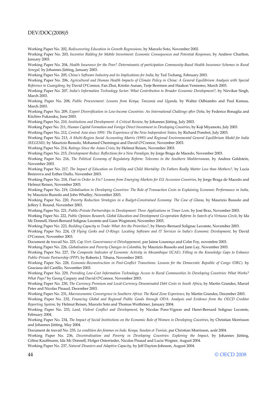#### DEV/DOC(2008)5

Working Paper No. 202, *Rediscovering Education in Growth Regressions,* by Marcelo Soto, November 2002.

Working Paper No. 203, *Incentive Bidding for Mobile Investment: Economic Consequences and Potential Responses,* by Andrew Charlton, January 2003.

Working Paper No. 204, *Health Insurance for the Poor? Determinants of participation Community-Based Health Insurance Schemes in Rural Senegal,* by Johannes Jütting, January 2003.

Working Paper No. 205, *China's Software Industry and its Implications for India,* by Ted Tschang, February 2003.

Working Paper No. 206, *Agricultural and Human Health Impacts of Climate Policy in China: A General Equilibrium Analysis with Special Reference to Guangdong,* by David O'Connor, Fan Zhai, Kristin Aunan, Terje Berntsen and Haakon Vennemo, March 2003.

Working Paper No. 207, *India's Information Technology Sector: What Contribution to Broader Economic Development?*, by Nirvikar Singh, March 2003.

Working Paper No. 208, *Public Procurement: Lessons from Kenya, Tanzania and Uganda,* by Walter Odhiambo and Paul Kamau, March 2003.

Working Paper No. 209, *Export Diversification in Low-Income Countries: An International Challenge after Doha,* by Federico Bonaglia and Kiichiro Fukasaku, June 2003.

Working Paper No. 210, *Institutions and Development: A Critical Review,* by Johannes Jütting, July 2003.

Working Paper No. 211, *Human Capital Formation and Foreign Direct Investment in Developing Countries,* by Koji Miyamoto, July 2003.

Working Paper No. 212, *Central Asia since 1991: The Experience of the New Independent States,* by Richard Pomfret, July 2003.

Working Paper No. 213, *A Multi-Region Social Accounting Matrix (1995) and Regional Environmental General Equilibrium Model for India (REGEMI),* by Maurizio Bussolo, Mohamed Chemingui and David O'Connor, November 2003.

Working Paper No. 214, *Ratings Since the Asian Crisis,* by Helmut Reisen, November 2003.

Working Paper No. 215, *Development Redux: Reflections for a New Paradigm,* by Jorge Braga de Macedo, November 2003.

Working Paper No. 216, *The Political Economy of Regulatory Reform: Telecoms in the Southern Mediterranean,* by Andrea Goldstein, November 2003.

Working Paper No. 217, *The Impact of Education on Fertility and Child Mortality: Do Fathers Really Matter Less than Mothers?,* by Lucia Breierova and Esther Duflo, November 2003.

Working Paper No. 218, *Float in Order to Fix? Lessons from Emerging Markets for EU Accession Countries*, by Jorge Braga de Macedo and Helmut Reisen, November 2003.

Working Paper No. 219, *Globalisation in Developing Countries: The Role of Transaction Costs in Explaining Economic Performance in India,*  by Maurizio Bussolo and John Whalley, November 2003.

Working Paper No. 220, *Poverty Reduction Strategies in a Budget-Constrained Economy: The Case of Ghana,* by Maurizio Bussolo and Jeffery I. Round, November 2003.

Working Paper No. 221, *Public-Private Partnerships in Development: Three Applications in Timor Leste,* by José Braz, November 2003. Working Paper No. 222, *Public Opinion Research, Global Education and Development Co-operation Reform: In Search of a Virtuous Circle,* by Ida Mc Donnell, Henri-Bernard Solignac Lecomte and Liam Wegimont, November 2003.

Working Paper No. 223, *Building Capacity to Trade: What Are the Priorities?*, by Henry-Bernard Solignac Lecomte, November 2003. Working Paper No. 224, *Of Flying Geeks and O-Rings: Locating Software and IT Services in India's Economic Development,* by David O'Connor, November 2003.

Document de travail No. 225, *Cap Vert: Gouvernance et Développement,* par Jaime Lourenço and Colm Foy, novembre 2003.

Working Paper No. 226, *Globalisation and Poverty Changes in Colombia,* by Maurizio Bussolo and Jann Lay, November 2003.

Working Paper No. 227, *The Composite Indicator of Economic Activity in Mozambique (ICAE): Filling in the Knowledge Gaps to Enhance Public-Private Partnership (PPP),* by Roberto J. Tibana, November 2003.

Working Paper No. 228, *Economic-Reconstruction in Post-Conflict Transitions: Lessons for the Democratic Republic of Congo (DRC),* by Graciana del Castillo, November 2003.

Working Paper No. 229, *Providing Low-Cost Information Technology Access to Rural Communities In Developing Countries: What Works? What Pays?* by Georg Caspary and David O'Connor, November 2003.

Working Paper No. 230, *The Currency Premium and Local-Currency Denominated Debt Costs in South Africa*, by Martin Grandes, Marcel Peter and Nicolas Pinaud, December 2003.

Working Paper No. 231, *Macroeconomic Convergence in Southern Africa: The Rand Zone Experience*, by Martin Grandes, December 2003.

Working Paper No. 232, *Financing Global and Regional Public Goods through ODA: Analysis and Evidence from the OECD Creditor Reporting System*, by Helmut Reisen, Marcelo Soto and Thomas Weithöner, January 2004.

Working Paper No. 233, *Land, Violent Conflict and Development*, by Nicolas Pons-Vignon and Henri-Bernard Solignac Lecomte, February 2004.

Working Paper No. 234, *The Impact of Social Institutions on the Economic Role of Women in Developing Countries*, by Christian Morrisson and Johannes Jütting, May 2004.

Document de travail No. 235, *La condition des femmes en Inde, Kenya, Soudan et Tunisie*, par Christian Morrisson, août 2004.

Working Paper No. 236, *Decentralisation and Poverty in Developing Countries: Exploring the Impact*, by Johannes Jütting, Céline Kauffmann, Ida Mc Donnell, Holger Osterrieder, Nicolas Pinaud and Lucia Wegner, August 2004.

Working Paper No. 237, *Natural Disasters and Adaptive Capacity*, by Jeff Dayton-Johnson, August 2004.